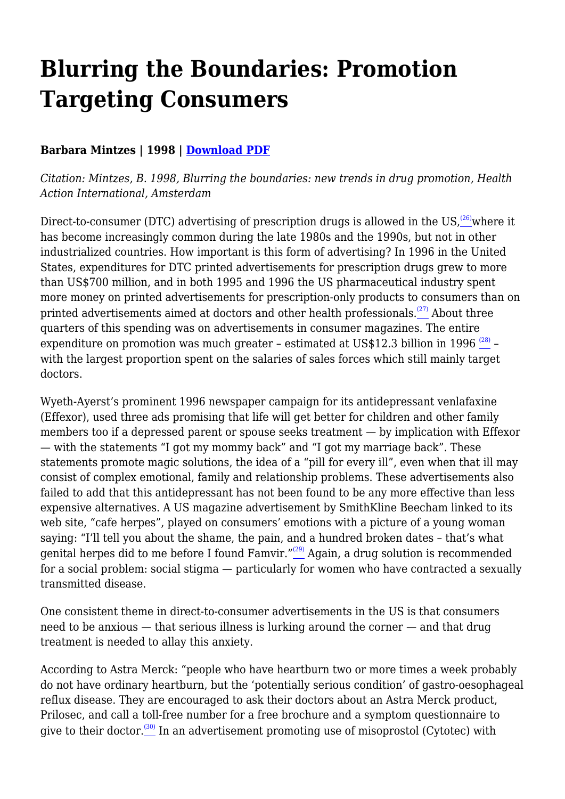# **Blurring the Boundaries: Promotion Targeting Consumers**

## **Barbara Mintzes | 1998 | [Download PDF](https://haiweb.org/wp-content/uploads/2020/10/Blurring-the-Boundaries-Ch1.pdf)**

*Citation: Mintzes, B. 1998, Blurring the boundaries: new trends in drug promotion, Health Action International, Amsterdam*

Direct-to-consumer (DTC) advertising of prescription drugs is allowed in the US,  $^{(26)}$  $^{(26)}$  $^{(26)}$ where it has become increasingly common during the late 1980s and the 1990s, but not in other industrialized countries. How important is this form of advertising? In 1996 in the United States, expenditures for DTC printed advertisements for prescription drugs grew to more than US\$700 million, and in both 1995 and 1996 the US pharmaceutical industry spent more money on printed advertisements for prescription-only products to consumers than on printed advertisements aimed at doctors and other health professionals.<sup> $(27)$ </sup> About three quarters of this spending was on advertisements in consumer magazines. The entire expenditure on promotion was much greater - estimated at US\$12.3 billion in 1996  $\frac{\text{\tiny{(28)}}}{\text{\tiny{}}} \frac{\text{\tiny{(28)}}}{\text{\tiny{}}} \frac{\text{\tiny{(28)}}}{\text{\tiny{}}}$ with the largest proportion spent on the salaries of sales forces which still mainly target doctors.

Wyeth-Ayerst's prominent 1996 newspaper campaign for its antidepressant venlafaxine (Effexor), used three ads promising that life will get better for children and other family members too if a depressed parent or spouse seeks treatment — by implication with Effexor — with the statements "I got my mommy back" and "I got my marriage back". These statements promote magic solutions, the idea of a "pill for every ill", even when that ill may consist of complex emotional, family and relationship problems. These advertisements also failed to add that this antidepressant has not been found to be any more effective than less expensive alternatives. A US magazine advertisement by SmithKline Beecham linked to its web site, "cafe herpes", played on consumers' emotions with a picture of a young woman saying: "I'll tell you about the shame, the pain, and a hundred broken dates – that's what genital herpes did to me before I found Famvir." $\frac{29}{2}$  Again, a drug solution is recommended for a social problem: social stigma — particularly for women who have contracted a sexually transmitted disease.

One consistent theme in direct-to-consumer advertisements in the US is that consumers need to be anxious — that serious illness is lurking around the corner — and that drug treatment is needed to allay this anxiety.

According to Astra Merck: "people who have heartburn two or more times a week probably do not have ordinary heartburn, but the 'potentially serious condition' of gastro-oesophageal reflux disease. They are encouraged to ask their doctors about an Astra Merck product, Prilosec, and call a toll-free number for a free brochure and a symptom questionnaire to give to their doctor.<sup>[\(30\)](file:///C:/Users/Dimity/OneDrive%20-%20HAI/Reports,%20papers/Blurring/blurring.ch1.html#N_30_)</sup> In an advertisement promoting use of misoprostol (Cytotec) with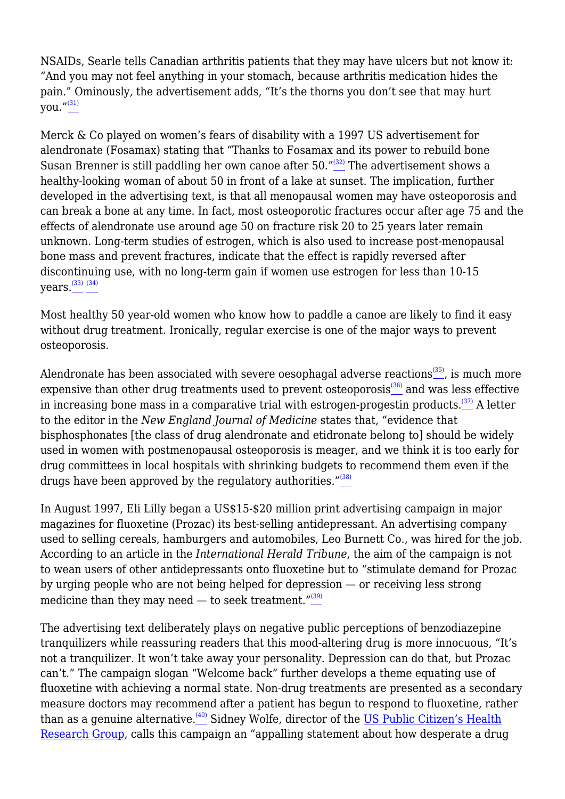NSAIDs, Searle tells Canadian arthritis patients that they may have ulcers but not know it: "And you may not feel anything in your stomach, because arthritis medication hides the pain." Ominously, the advertisement adds, "It's the thorns you don't see that may hurt you."<sup>[\(31\)](file:///C:/Users/Dimity/OneDrive%20-%20HAI/Reports,%20papers/Blurring/blurring.ch1.html#N_31_)</sup>

Merck & Co played on women's fears of disability with a 1997 US advertisement for alendronate (Fosamax) stating that "Thanks to Fosamax and its power to rebuild bone Susan Brenner is still paddling her own canoe after 50."<sup>[\(32\)](file:///C:/Users/Dimity/OneDrive%20-%20HAI/Reports,%20papers/Blurring/blurring.ch1.html#N_32_)</sup> The advertisement shows a healthy-looking woman of about 50 in front of a lake at sunset. The implication, further developed in the advertising text, is that all menopausal women may have osteoporosis and can break a bone at any time. In fact, most osteoporotic fractures occur after age 75 and the effects of alendronate use around age 50 on fracture risk 20 to 25 years later remain unknown. Long-term studies of estrogen, which is also used to increase post-menopausal bone mass and prevent fractures, indicate that the effect is rapidly reversed after discontinuing use, with no long-term gain if women use estrogen for less than 10-15 vears. $^{(33) (34)}$  $^{(33) (34)}$  $^{(33) (34)}$  $^{(33) (34)}$  $^{(33) (34)}$ 

Most healthy 50 year-old women who know how to paddle a canoe are likely to find it easy without drug treatment. Ironically, regular exercise is one of the major ways to prevent osteoporosis.

Alendronate has been associated with severe oesophagal adverse reactions $\frac{(35)}{20}$  $\frac{(35)}{20}$  $\frac{(35)}{20}$ , is much more expensive than other drug treatments used to prevent osteoporosis<sup>[\(36\)](file:///C:/Users/Dimity/OneDrive%20-%20HAI/Reports,%20papers/Blurring/blurring.ch1.html#N_36_)</sup> and was less effective in increasing bone mass in a comparative trial with estrogen-progestin products.<sup> $(37)$ </sup> A letter to the editor in the *New England Journal of Medicine* states that, "evidence that bisphosphonates [the class of drug alendronate and etidronate belong to] should be widely used in women with postmenopausal osteoporosis is meager, and we think it is too early for drug committees in local hospitals with shrinking budgets to recommend them even if the drugs have been approved by the regulatory authorities." $(38)$ 

In August 1997, Eli Lilly began a US\$15-\$20 million print advertising campaign in major magazines for fluoxetine (Prozac) its best-selling antidepressant. An advertising company used to selling cereals, hamburgers and automobiles, Leo Burnett Co., was hired for the job. According to an article in the *International Herald Tribune*, the aim of the campaign is not to wean users of other antidepressants onto fluoxetine but to "stimulate demand for Prozac by urging people who are not being helped for depression — or receiving less strong medicine than they may need — to seek treatment. $^{\prime\prime(39)}$  $^{\prime\prime(39)}$  $^{\prime\prime(39)}$ 

The advertising text deliberately plays on negative public perceptions of benzodiazepine tranquilizers while reassuring readers that this mood-altering drug is more innocuous, "It's not a tranquilizer. It won't take away your personality. Depression can do that, but Prozac can't." The campaign slogan "Welcome back" further develops a theme equating use of fluoxetine with achieving a normal state. Non-drug treatments are presented as a secondary measure doctors may recommend after a patient has begun to respond to fluoxetine, rather than as a genuine alternative.<sup>[\(40\)](file:///C:/Users/Dimity/OneDrive%20-%20HAI/Reports,%20papers/Blurring/blurring.ch1.html#N_40_)</sup> Sidney Wolfe, director of the [US Public Citizen's Health](http://www.public.org) [Research Group](http://www.public.org), calls this campaign an "appalling statement about how desperate a drug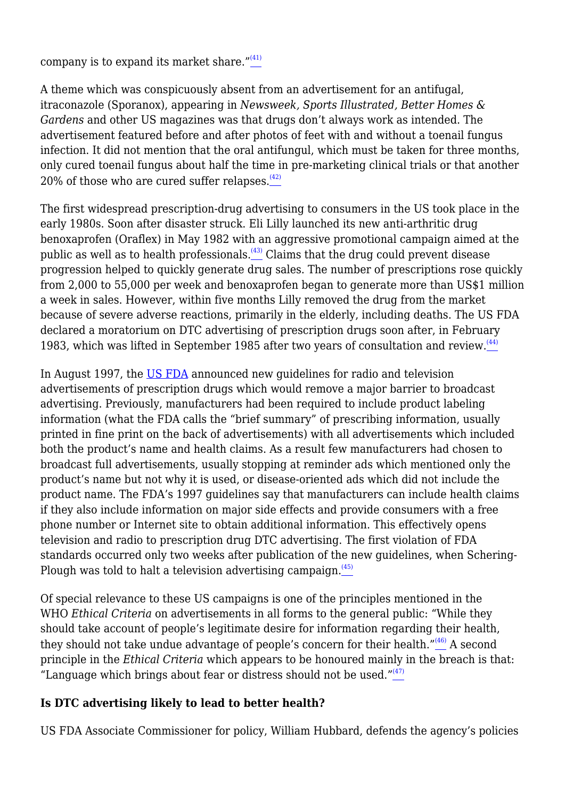company is to expand its market share." $(41)$ 

A theme which was conspicuously absent from an advertisement for an antifugal, itraconazole (Sporanox), appearing in *Newsweek, Sports Illustrated, Better Homes & Gardens* and other US magazines was that drugs don't always work as intended. The advertisement featured before and after photos of feet with and without a toenail fungus infection. It did not mention that the oral antifungul, which must be taken for three months, only cured toenail fungus about half the time in pre-marketing clinical trials or that another 20% of those who are cured suffer relapses. $(42)$ 

The first widespread prescription-drug advertising to consumers in the US took place in the early 1980s. Soon after disaster struck. Eli Lilly launched its new anti-arthritic drug benoxaprofen (Oraflex) in May 1982 with an aggressive promotional campaign aimed at the public as well as to health professionals.<sup>[\(43\)](file:///C:/Users/Dimity/OneDrive%20-%20HAI/Reports,%20papers/Blurring/blurring.ch1.html#N_43_)</sup> Claims that the drug could prevent disease progression helped to quickly generate drug sales. The number of prescriptions rose quickly from 2,000 to 55,000 per week and benoxaprofen began to generate more than US\$1 million a week in sales. However, within five months Lilly removed the drug from the market because of severe adverse reactions, primarily in the elderly, including deaths. The US FDA declared a moratorium on DTC advertising of prescription drugs soon after, in February 1983, which was lifted in September 1985 after two years of consultation and review.<sup>[\(44\)](file:///C:/Users/Dimity/OneDrive%20-%20HAI/Reports,%20papers/Blurring/blurring.ch1.html#N_44_)</sup>

In August 1997, the [US FDA](http://www.fda.gov) announced new guidelines for radio and television advertisements of prescription drugs which would remove a major barrier to broadcast advertising. Previously, manufacturers had been required to include product labeling information (what the FDA calls the "brief summary" of prescribing information, usually printed in fine print on the back of advertisements) with all advertisements which included both the product's name and health claims. As a result few manufacturers had chosen to broadcast full advertisements, usually stopping at reminder ads which mentioned only the product's name but not why it is used, or disease-oriented ads which did not include the product name. The FDA's 1997 guidelines say that manufacturers can include health claims if they also include information on major side effects and provide consumers with a free phone number or Internet site to obtain additional information. This effectively opens television and radio to prescription drug DTC advertising. The first violation of FDA standards occurred only two weeks after publication of the new guidelines, when Schering-Plough was told to halt a television advertising campaign.<sup>[\(45\)](file:///C:/Users/Dimity/OneDrive%20-%20HAI/Reports,%20papers/Blurring/blurring.ch1.html#N_45_)</sup>

Of special relevance to these US campaigns is one of the principles mentioned in the WHO *Ethical Criteria* on advertisements in all forms to the general public: "While they should take account of people's legitimate desire for information regarding their health, they should not take undue advantage of people's concern for their health." $(46)$  A second principle in the *Ethical Criteria* which appears to be honoured mainly in the breach is that: "Language which brings about fear or distress should not be used." $(47)$ 

# **Is DTC advertising likely to lead to better health?**

US FDA Associate Commissioner for policy, William Hubbard, defends the agency's policies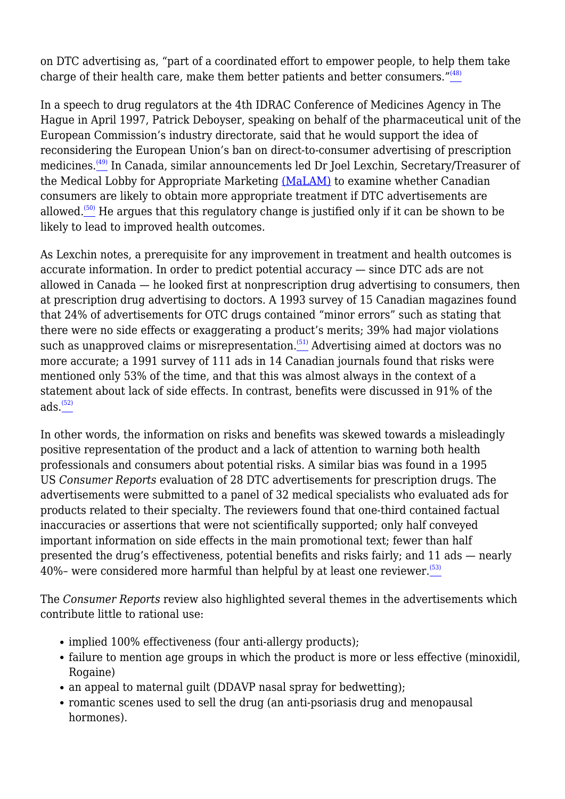on DTC advertising as, "part of a coordinated effort to empower people, to help them take charge of their health care, make them better patients and better consumers." $(48)$ 

In a speech to drug regulators at the 4th IDRAC Conference of Medicines Agency in The Hague in April 1997, Patrick Deboyser, speaking on behalf of the pharmaceutical unit of the European Commission's industry directorate, said that he would support the idea of reconsidering the European Union's ban on direct-to-consumer advertising of prescription medicines.<sup>[\(49\)](file:///C:/Users/Dimity/OneDrive%20-%20HAI/Reports,%20papers/Blurring/blurring.ch1.html#N_49_)</sup> In Canada, similar announcements led Dr Joel Lexchin, Secretary/Treasurer of the Medical Lobby for Appropriate Marketing [\(MaLAM\)](http://www.camtech.net.au/malam) to examine whether Canadian consumers are likely to obtain more appropriate treatment if DTC advertisements are allowed.<sup> $(50)$ </sup> He argues that this regulatory change is justified only if it can be shown to be likely to lead to improved health outcomes.

As Lexchin notes, a prerequisite for any improvement in treatment and health outcomes is accurate information. In order to predict potential accuracy — since DTC ads are not allowed in Canada — he looked first at nonprescription drug advertising to consumers, then at prescription drug advertising to doctors. A 1993 survey of 15 Canadian magazines found that 24% of advertisements for OTC drugs contained "minor errors" such as stating that there were no side effects or exaggerating a product's merits; 39% had major violations such as unapproved claims or misrepresentation.<sup> $(51)$ </sup> Advertising aimed at doctors was no more accurate; a 1991 survey of 111 ads in 14 Canadian journals found that risks were mentioned only 53% of the time, and that this was almost always in the context of a statement about lack of side effects. In contrast, benefits were discussed in 91% of the  $ads.$  $(52)$ 

In other words, the information on risks and benefits was skewed towards a misleadingly positive representation of the product and a lack of attention to warning both health professionals and consumers about potential risks. A similar bias was found in a 1995 US *Consumer Reports* evaluation of 28 DTC advertisements for prescription drugs. The advertisements were submitted to a panel of 32 medical specialists who evaluated ads for products related to their specialty. The reviewers found that one-third contained factual inaccuracies or assertions that were not scientifically supported; only half conveyed important information on side effects in the main promotional text; fewer than half presented the drug's effectiveness, potential benefits and risks fairly; and 11 ads — nearly 40%– were considered more harmful than helpful by at least one reviewer. $(53)$ 

The *Consumer Reports* review also highlighted several themes in the advertisements which contribute little to rational use:

- implied 100% effectiveness (four anti-allergy products);
- failure to mention age groups in which the product is more or less effective (minoxidil, Rogaine)
- an appeal to maternal guilt (DDAVP nasal spray for bedwetting);
- romantic scenes used to sell the drug (an anti-psoriasis drug and menopausal hormones).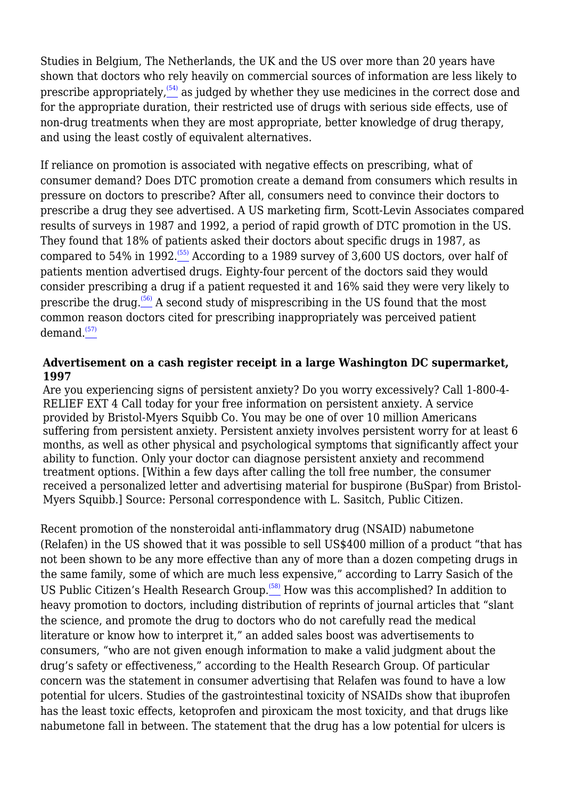Studies in Belgium, The Netherlands, the UK and the US over more than 20 years have shown that doctors who rely heavily on commercial sources of information are less likely to prescribe appropriately,  $(54)$  as judged by whether they use medicines in the correct dose and for the appropriate duration, their restricted use of drugs with serious side effects, use of non-drug treatments when they are most appropriate, better knowledge of drug therapy, and using the least costly of equivalent alternatives.

If reliance on promotion is associated with negative effects on prescribing, what of consumer demand? Does DTC promotion create a demand from consumers which results in pressure on doctors to prescribe? After all, consumers need to convince their doctors to prescribe a drug they see advertised. A US marketing firm, Scott-Levin Associates compared results of surveys in 1987 and 1992, a period of rapid growth of DTC promotion in the US. They found that 18% of patients asked their doctors about specific drugs in 1987, as compared to 54% in 1992.<sup> $(55)$ </sup> According to a 1989 survey of 3,600 US doctors, over half of patients mention advertised drugs. Eighty-four percent of the doctors said they would consider prescribing a drug if a patient requested it and 16% said they were very likely to prescribe the drug.<sup> $(56)$ </sup> A second study of misprescribing in the US found that the most common reason doctors cited for prescribing inappropriately was perceived patient demand. $(57)$ 

#### **Advertisement on a cash register receipt in a large Washington DC supermarket, 1997**

Are you experiencing signs of persistent anxiety? Do you worry excessively? Call 1-800-4- RELIEF EXT 4 Call today for your free information on persistent anxiety. A service provided by Bristol-Myers Squibb Co. You may be one of over 10 million Americans suffering from persistent anxiety. Persistent anxiety involves persistent worry for at least 6 months, as well as other physical and psychological symptoms that significantly affect your ability to function. Only your doctor can diagnose persistent anxiety and recommend treatment options. [Within a few days after calling the toll free number, the consumer received a personalized letter and advertising material for buspirone (BuSpar) from Bristol-Myers Squibb.] Source: Personal correspondence with L. Sasitch, Public Citizen.

Recent promotion of the nonsteroidal anti-inflammatory drug (NSAID) nabumetone (Relafen) in the US showed that it was possible to sell US\$400 million of a product "that has not been shown to be any more effective than any of more than a dozen competing drugs in the same family, some of which are much less expensive," according to Larry Sasich of the US Public Citizen's Health Research Group.<sup>[58]</sup> How was this accomplished? In addition to heavy promotion to doctors, including distribution of reprints of journal articles that "slant the science, and promote the drug to doctors who do not carefully read the medical literature or know how to interpret it," an added sales boost was advertisements to consumers, "who are not given enough information to make a valid judgment about the drug's safety or effectiveness," according to the Health Research Group. Of particular concern was the statement in consumer advertising that Relafen was found to have a low potential for ulcers. Studies of the gastrointestinal toxicity of NSAIDs show that ibuprofen has the least toxic effects, ketoprofen and piroxicam the most toxicity, and that drugs like nabumetone fall in between. The statement that the drug has a low potential for ulcers is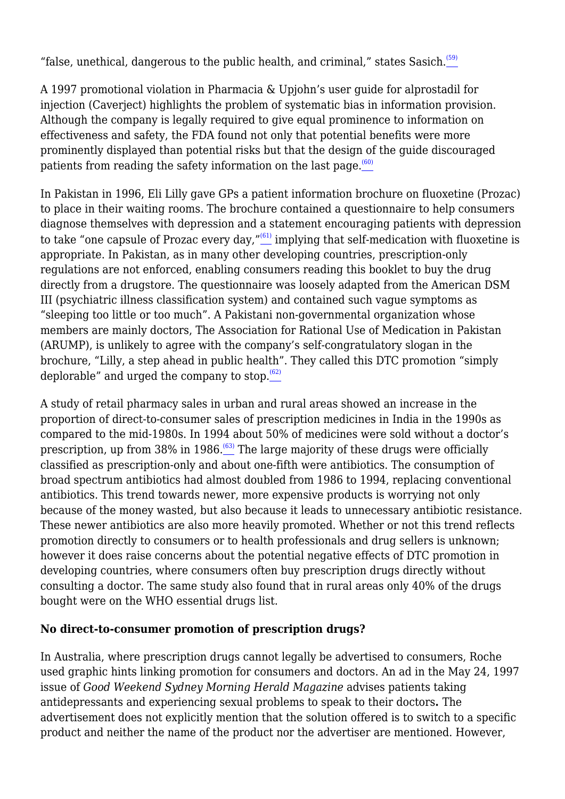"false, unethical, dangerous to the public health, and criminal," states Sasich. $(59)$ 

A 1997 promotional violation in Pharmacia & Upjohn's user guide for alprostadil for injection (Caverject) highlights the problem of systematic bias in information provision. Although the company is legally required to give equal prominence to information on effectiveness and safety, the FDA found not only that potential benefits were more prominently displayed than potential risks but that the design of the guide discouraged patients from reading the safety information on the last page. $\frac{(60)}{4}$  $\frac{(60)}{4}$  $\frac{(60)}{4}$ 

In Pakistan in 1996, Eli Lilly gave GPs a patient information brochure on fluoxetine (Prozac) to place in their waiting rooms. The brochure contained a questionnaire to help consumers diagnose themselves with depression and a statement encouraging patients with depression to take "one capsule of Prozac every day," $\frac{^{(61)}}{2}$  $\frac{^{(61)}}{2}$  $\frac{^{(61)}}{2}$  implying that self-medication with fluoxetine is appropriate. In Pakistan, as in many other developing countries, prescription-only regulations are not enforced, enabling consumers reading this booklet to buy the drug directly from a drugstore. The questionnaire was loosely adapted from the American DSM III (psychiatric illness classification system) and contained such vague symptoms as "sleeping too little or too much". A Pakistani non-governmental organization whose members are mainly doctors, The Association for Rational Use of Medication in Pakistan (ARUMP), is unlikely to agree with the company's self-congratulatory slogan in the brochure, "Lilly, a step ahead in public health". They called this DTC promotion "simply deplorable" and urged the company to stop. $(62)$ 

A study of retail pharmacy sales in urban and rural areas showed an increase in the proportion of direct-to-consumer sales of prescription medicines in India in the 1990s as compared to the mid-1980s. In 1994 about 50% of medicines were sold without a doctor's prescription, up from  $38\%$  in  $1986 \cdot \frac{(63)}{2}$  $1986 \cdot \frac{(63)}{2}$  $1986 \cdot \frac{(63)}{2}$  The large majority of these drugs were officially classified as prescription-only and about one-fifth were antibiotics. The consumption of broad spectrum antibiotics had almost doubled from 1986 to 1994, replacing conventional antibiotics. This trend towards newer, more expensive products is worrying not only because of the money wasted, but also because it leads to unnecessary antibiotic resistance. These newer antibiotics are also more heavily promoted. Whether or not this trend reflects promotion directly to consumers or to health professionals and drug sellers is unknown; however it does raise concerns about the potential negative effects of DTC promotion in developing countries, where consumers often buy prescription drugs directly without consulting a doctor. The same study also found that in rural areas only 40% of the drugs bought were on the WHO essential drugs list.

## **No direct-to-consumer promotion of prescription drugs?**

In Australia, where prescription drugs cannot legally be advertised to consumers, Roche used graphic hints linking promotion for consumers and doctors. An ad in the May 24, 1997 issue of *Good Weekend Sydney Morning Herald Magazine* advises patients taking antidepressants and experiencing sexual problems to speak to their doctors**.** The advertisement does not explicitly mention that the solution offered is to switch to a specific product and neither the name of the product nor the advertiser are mentioned. However,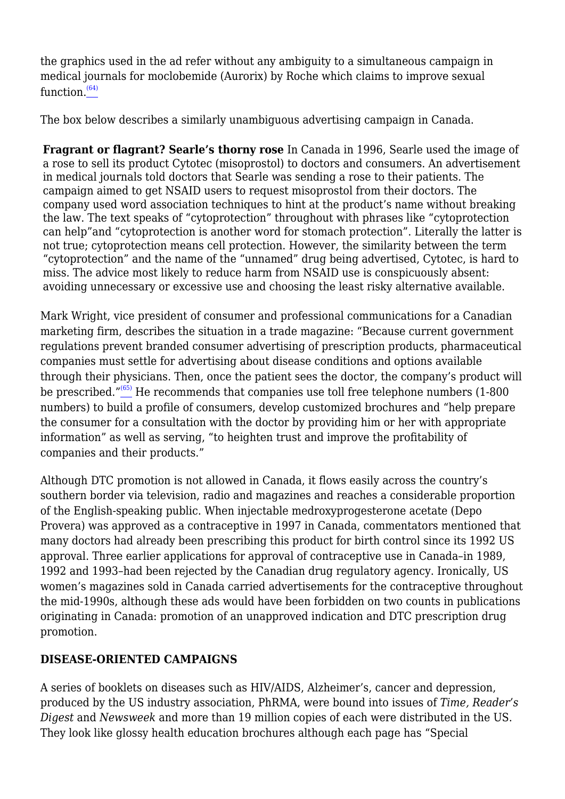the graphics used in the ad refer without any ambiguity to a simultaneous campaign in medical journals for moclobemide (Aurorix) by Roche which claims to improve sexual function. $(64)$ 

The box below describes a similarly unambiguous advertising campaign in Canada.

**Fragrant or flagrant? Searle's thorny rose** In Canada in 1996, Searle used the image of a rose to sell its product Cytotec (misoprostol) to doctors and consumers. An advertisement in medical journals told doctors that Searle was sending a rose to their patients. The campaign aimed to get NSAID users to request misoprostol from their doctors. The company used word association techniques to hint at the product's name without breaking the law. The text speaks of "cytoprotection" throughout with phrases like "cytoprotection can help"and "cytoprotection is another word for stomach protection". Literally the latter is not true; cytoprotection means cell protection. However, the similarity between the term "cytoprotection" and the name of the "unnamed" drug being advertised, Cytotec, is hard to miss. The advice most likely to reduce harm from NSAID use is conspicuously absent: avoiding unnecessary or excessive use and choosing the least risky alternative available.

Mark Wright, vice president of consumer and professional communications for a Canadian marketing firm, describes the situation in a trade magazine: "Because current government regulations prevent branded consumer advertising of prescription products, pharmaceutical companies must settle for advertising about disease conditions and options available through their physicians. Then, once the patient sees the doctor, the company's product will be prescribed."[\(65\)](file:///C:/Users/Dimity/OneDrive%20-%20HAI/Reports,%20papers/Blurring/blurring.ch1.html#N_65_) He recommends that companies use toll free telephone numbers (1-800 numbers) to build a profile of consumers, develop customized brochures and "help prepare the consumer for a consultation with the doctor by providing him or her with appropriate information" as well as serving, "to heighten trust and improve the profitability of companies and their products."

Although DTC promotion is not allowed in Canada, it flows easily across the country's southern border via television, radio and magazines and reaches a considerable proportion of the English-speaking public. When injectable medroxyprogesterone acetate (Depo Provera) was approved as a contraceptive in 1997 in Canada, commentators mentioned that many doctors had already been prescribing this product for birth control since its 1992 US approval. Three earlier applications for approval of contraceptive use in Canada–in 1989, 1992 and 1993–had been rejected by the Canadian drug regulatory agency. Ironically, US women's magazines sold in Canada carried advertisements for the contraceptive throughout the mid-1990s, although these ads would have been forbidden on two counts in publications originating in Canada: promotion of an unapproved indication and DTC prescription drug promotion.

## **DISEASE-ORIENTED CAMPAIGNS**

A series of booklets on diseases such as HIV/AIDS, Alzheimer's, cancer and depression, produced by the US industry association, PhRMA, were bound into issues of *Time, Reader's Digest* and *Newsweek* and more than 19 million copies of each were distributed in the US. They look like glossy health education brochures although each page has "Special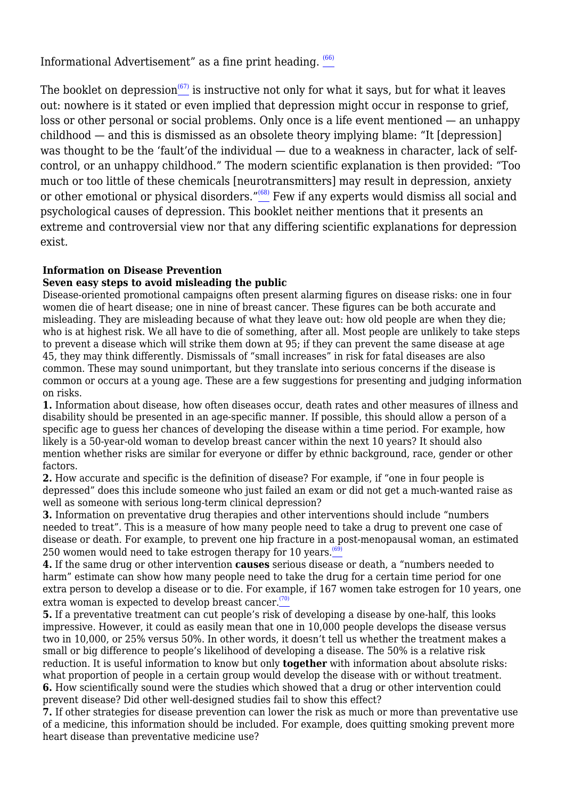Informational Advertisement" as a fine print heading.  $\frac{(66)}{60}$  $\frac{(66)}{60}$  $\frac{(66)}{60}$ 

The booklet on depression<sup> $(67)$ </sup> is instructive not only for what it says, but for what it leaves out: nowhere is it stated or even implied that depression might occur in response to grief, loss or other personal or social problems. Only once is a life event mentioned — an unhappy childhood — and this is dismissed as an obsolete theory implying blame: "It [depression] was thought to be the 'fault'of the individual — due to a weakness in character, lack of selfcontrol, or an unhappy childhood." The modern scientific explanation is then provided: "Too much or too little of these chemicals [neurotransmitters] may result in depression, anxiety or other emotional or physical disorders."<sup>[\(68\)](file:///C:/Users/Dimity/OneDrive%20-%20HAI/Reports,%20papers/Blurring/blurring.ch1.html#N_68_)</sup> Few if any experts would dismiss all social and psychological causes of depression. This booklet neither mentions that it presents an extreme and controversial view nor that any differing scientific explanations for depression exist.

#### **Information on Disease Prevention**

#### **Seven easy steps to avoid misleading the public**

Disease-oriented promotional campaigns often present alarming figures on disease risks: one in four women die of heart disease; one in nine of breast cancer. These figures can be both accurate and misleading. They are misleading because of what they leave out: how old people are when they die; who is at highest risk. We all have to die of something, after all. Most people are unlikely to take steps to prevent a disease which will strike them down at 95; if they can prevent the same disease at age 45, they may think differently. Dismissals of "small increases" in risk for fatal diseases are also common. These may sound unimportant, but they translate into serious concerns if the disease is common or occurs at a young age. These are a few suggestions for presenting and judging information on risks.

**1.** Information about disease, how often diseases occur, death rates and other measures of illness and disability should be presented in an age-specific manner. If possible, this should allow a person of a specific age to guess her chances of developing the disease within a time period. For example, how likely is a 50-year-old woman to develop breast cancer within the next 10 years? It should also mention whether risks are similar for everyone or differ by ethnic background, race, gender or other factors.

**2.** How accurate and specific is the definition of disease? For example, if "one in four people is depressed" does this include someone who just failed an exam or did not get a much-wanted raise as well as someone with serious long-term clinical depression?

**3.** Information on preventative drug therapies and other interventions should include "numbers needed to treat". This is a measure of how many people need to take a drug to prevent one case of disease or death. For example, to prevent one hip fracture in a post-menopausal woman, an estimated 250 women would need to take estrogen therapy for 10 years. $\frac{(69)}{69}$  $\frac{(69)}{69}$  $\frac{(69)}{69}$ 

**4.** If the same drug or other intervention **causes** serious disease or death, a "numbers needed to harm" estimate can show how many people need to take the drug for a certain time period for one extra person to develop a disease or to die. For example, if 167 women take estrogen for 10 years, one extra woman is expected to develop breast cancer.<sup> $(70)$ </sup>

**5.** If a preventative treatment can cut people's risk of developing a disease by one-half, this looks impressive. However, it could as easily mean that one in 10,000 people develops the disease versus two in 10,000, or 25% versus 50%. In other words, it doesn't tell us whether the treatment makes a small or big difference to people's likelihood of developing a disease. The 50% is a relative risk reduction. It is useful information to know but only **together** with information about absolute risks: what proportion of people in a certain group would develop the disease with or without treatment. **6.** How scientifically sound were the studies which showed that a drug or other intervention could prevent disease? Did other well-designed studies fail to show this effect?

**7.** If other strategies for disease prevention can lower the risk as much or more than preventative use of a medicine, this information should be included. For example, does quitting smoking prevent more heart disease than preventative medicine use?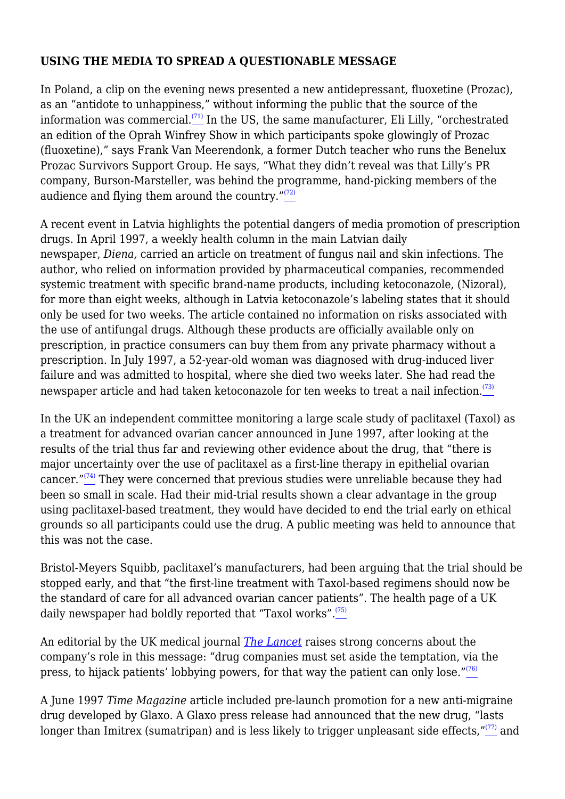#### **USING THE MEDIA TO SPREAD A QUESTIONABLE MESSAGE**

In Poland, a clip on the evening news presented a new antidepressant, fluoxetine (Prozac), as an "antidote to unhappiness," without informing the public that the source of the information was commercial. $(71)$  In the US, the same manufacturer, Eli Lilly, "orchestrated an edition of the Oprah Winfrey Show in which participants spoke glowingly of Prozac (fluoxetine)," says Frank Van Meerendonk, a former Dutch teacher who runs the Benelux Prozac Survivors Support Group. He says, "What they didn't reveal was that Lilly's PR company, Burson-Marsteller, was behind the programme, hand-picking members of the audience and flying them around the country. $T^{(72)}$  $T^{(72)}$  $T^{(72)}$ 

A recent event in Latvia highlights the potential dangers of media promotion of prescription drugs. In April 1997, a weekly health column in the main Latvian daily newspaper, *Diena,* carried an article on treatment of fungus nail and skin infections. The author, who relied on information provided by pharmaceutical companies, recommended systemic treatment with specific brand-name products, including ketoconazole, (Nizoral), for more than eight weeks, although in Latvia ketoconazole's labeling states that it should only be used for two weeks. The article contained no information on risks associated with the use of antifungal drugs. Although these products are officially available only on prescription, in practice consumers can buy them from any private pharmacy without a prescription. In July 1997, a 52-year-old woman was diagnosed with drug-induced liver failure and was admitted to hospital, where she died two weeks later. She had read the newspaper article and had taken ketoconazole for ten weeks to treat a nail infection. $\frac{(73)}{2}$  $\frac{(73)}{2}$  $\frac{(73)}{2}$ 

In the UK an independent committee monitoring a large scale study of paclitaxel (Taxol) as a treatment for advanced ovarian cancer announced in June 1997, after looking at the results of the trial thus far and reviewing other evidence about the drug, that "there is major uncertainty over the use of paclitaxel as a first-line therapy in epithelial ovarian cancer." $(74)$  They were concerned that previous studies were unreliable because they had been so small in scale. Had their mid-trial results shown a clear advantage in the group using paclitaxel-based treatment, they would have decided to end the trial early on ethical grounds so all participants could use the drug. A public meeting was held to announce that this was not the case.

Bristol-Meyers Squibb, paclitaxel's manufacturers, had been arguing that the trial should be stopped early, and that "the first-line treatment with Taxol-based regimens should now be the standard of care for all advanced ovarian cancer patients". The health page of a UK daily newspaper had boldly reported that "Taxol works".<sup>[\(75\)](file:///C:/Users/Dimity/OneDrive%20-%20HAI/Reports,%20papers/Blurring/blurring.ch1.html#N_75_)</sup>

An editorial by the UK medical journal *[The Lancet](http://www.thelancet.com)* raises strong concerns about the company's role in this message: "drug companies must set aside the temptation, via the press, to hijack patients' lobbying powers, for that way the patient can only lose." $(76)$ 

A June 1997 *Time Magazine* article included pre-launch promotion for a new anti-migraine drug developed by Glaxo. A Glaxo press release had announced that the new drug, "lasts longer than Imitrex (sumatripan) and is less likely to trigger unpleasant side effects, $\frac{r(77)}{2}$  $\frac{r(77)}{2}$  $\frac{r(77)}{2}$  and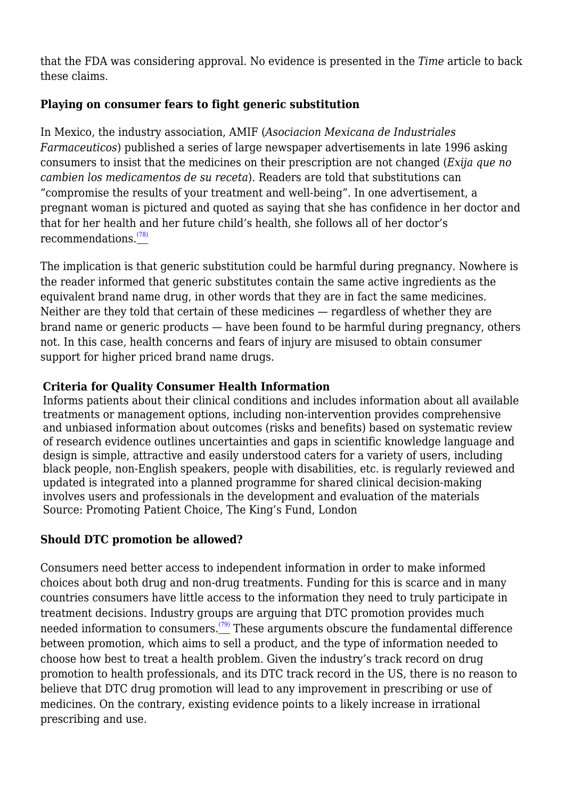that the FDA was considering approval. No evidence is presented in the *Time* article to back these claims.

# **Playing on consumer fears to fight generic substitution**

In Mexico, the industry association, AMIF (*Asociacion Mexicana de Industriales Farmaceuticos*) published a series of large newspaper advertisements in late 1996 asking consumers to insist that the medicines on their prescription are not changed (*Exija que no cambien los medicamentos de su receta*). Readers are told that substitutions can "compromise the results of your treatment and well-being". In one advertisement, a pregnant woman is pictured and quoted as saying that she has confidence in her doctor and that for her health and her future child's health, she follows all of her doctor's recommendations.[\(78\)](file:///C:/Users/Dimity/OneDrive%20-%20HAI/Reports,%20papers/Blurring/blurring.ch1.html#N_78_)

The implication is that generic substitution could be harmful during pregnancy. Nowhere is the reader informed that generic substitutes contain the same active ingredients as the equivalent brand name drug, in other words that they are in fact the same medicines. Neither are they told that certain of these medicines — regardless of whether they are brand name or generic products — have been found to be harmful during pregnancy, others not. In this case, health concerns and fears of injury are misused to obtain consumer support for higher priced brand name drugs.

# **Criteria for Quality Consumer Health Information**

Informs patients about their clinical conditions and includes information about all available treatments or management options, including non-intervention provides comprehensive and unbiased information about outcomes (risks and benefits) based on systematic review of research evidence outlines uncertainties and gaps in scientific knowledge language and design is simple, attractive and easily understood caters for a variety of users, including black people, non-English speakers, people with disabilities, etc. is regularly reviewed and updated is integrated into a planned programme for shared clinical decision-making involves users and professionals in the development and evaluation of the materials Source: Promoting Patient Choice, The King's Fund, London

# **Should DTC promotion be allowed?**

Consumers need better access to independent information in order to make informed choices about both drug and non-drug treatments. Funding for this is scarce and in many countries consumers have little access to the information they need to truly participate in treatment decisions. Industry groups are arguing that DTC promotion provides much needed information to consumers. $(79)$  These arguments obscure the fundamental difference between promotion, which aims to sell a product, and the type of information needed to choose how best to treat a health problem. Given the industry's track record on drug promotion to health professionals, and its DTC track record in the US, there is no reason to believe that DTC drug promotion will lead to any improvement in prescribing or use of medicines. On the contrary, existing evidence points to a likely increase in irrational prescribing and use.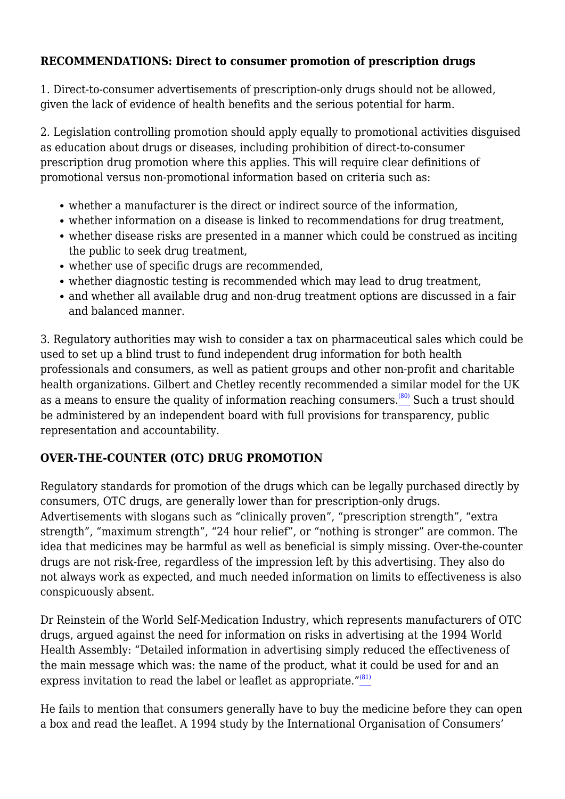#### **RECOMMENDATIONS: Direct to consumer promotion of prescription drugs**

1. Direct-to-consumer advertisements of prescription-only drugs should not be allowed, given the lack of evidence of health benefits and the serious potential for harm.

2. Legislation controlling promotion should apply equally to promotional activities disguised as education about drugs or diseases, including prohibition of direct-to-consumer prescription drug promotion where this applies. This will require clear definitions of promotional versus non-promotional information based on criteria such as:

- whether a manufacturer is the direct or indirect source of the information,
- whether information on a disease is linked to recommendations for drug treatment,
- whether disease risks are presented in a manner which could be construed as inciting the public to seek drug treatment,
- whether use of specific drugs are recommended.
- whether diagnostic testing is recommended which may lead to drug treatment,
- and whether all available drug and non-drug treatment options are discussed in a fair and balanced manner.

3. Regulatory authorities may wish to consider a tax on pharmaceutical sales which could be used to set up a blind trust to fund independent drug information for both health professionals and consumers, as well as patient groups and other non-profit and charitable health organizations. Gilbert and Chetley recently recommended a similar model for the UK as a means to ensure the quality of information reaching consumers.<sup>[\(80\)](file:///C:/Users/Dimity/OneDrive%20-%20HAI/Reports,%20papers/Blurring/blurring.ch1.html#N_80_)</sup> Such a trust should be administered by an independent board with full provisions for transparency, public representation and accountability.

## **OVER-THE-COUNTER (OTC) DRUG PROMOTION**

Regulatory standards for promotion of the drugs which can be legally purchased directly by consumers, OTC drugs, are generally lower than for prescription-only drugs. Advertisements with slogans such as "clinically proven", "prescription strength", "extra strength", "maximum strength", "24 hour relief", or "nothing is stronger" are common. The idea that medicines may be harmful as well as beneficial is simply missing. Over-the-counter drugs are not risk-free, regardless of the impression left by this advertising. They also do not always work as expected, and much needed information on limits to effectiveness is also conspicuously absent.

Dr Reinstein of the World Self-Medication Industry, which represents manufacturers of OTC drugs, argued against the need for information on risks in advertising at the 1994 World Health Assembly: "Detailed information in advertising simply reduced the effectiveness of the main message which was: the name of the product, what it could be used for and an express invitation to read the label or leaflet as appropriate. $^{\prime\prime(81)}$  $^{\prime\prime(81)}$  $^{\prime\prime(81)}$ 

He fails to mention that consumers generally have to buy the medicine before they can open a box and read the leaflet. A 1994 study by the International Organisation of Consumers'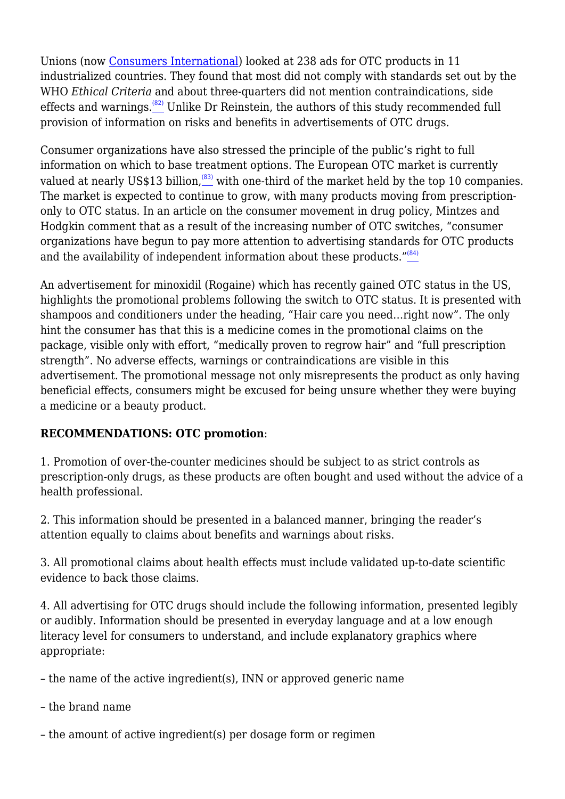Unions (now [Consumers International](http://www.consumersinternational.org)) looked at 238 ads for OTC products in 11 industrialized countries. They found that most did not comply with standards set out by the WHO *Ethical Criteria* and about three-quarters did not mention contraindications, side effects and warnings. $(82)$  Unlike Dr Reinstein, the authors of this study recommended full provision of information on risks and benefits in advertisements of OTC drugs.

Consumer organizations have also stressed the principle of the public's right to full information on which to base treatment options. The European OTC market is currently valued at nearly US\$13 billion, $(83)$  with one-third of the market held by the top 10 companies. The market is expected to continue to grow, with many products moving from prescriptiononly to OTC status. In an article on the consumer movement in drug policy, Mintzes and Hodgkin comment that as a result of the increasing number of OTC switches, "consumer organizations have begun to pay more attention to advertising standards for OTC products and the availability of independent information about these products." $(84)$ 

An advertisement for minoxidil (Rogaine) which has recently gained OTC status in the US, highlights the promotional problems following the switch to OTC status. It is presented with shampoos and conditioners under the heading, "Hair care you need…right now". The only hint the consumer has that this is a medicine comes in the promotional claims on the package, visible only with effort, "medically proven to regrow hair" and "full prescription strength". No adverse effects, warnings or contraindications are visible in this advertisement. The promotional message not only misrepresents the product as only having beneficial effects, consumers might be excused for being unsure whether they were buying a medicine or a beauty product.

# **RECOMMENDATIONS: OTC promotion**:

1. Promotion of over-the-counter medicines should be subject to as strict controls as prescription-only drugs, as these products are often bought and used without the advice of a health professional.

2. This information should be presented in a balanced manner, bringing the reader's attention equally to claims about benefits and warnings about risks.

3. All promotional claims about health effects must include validated up-to-date scientific evidence to back those claims.

4. All advertising for OTC drugs should include the following information, presented legibly or audibly. Information should be presented in everyday language and at a low enough literacy level for consumers to understand, and include explanatory graphics where appropriate:

– the name of the active ingredient(s), INN or approved generic name

- the brand name
- the amount of active ingredient(s) per dosage form or regimen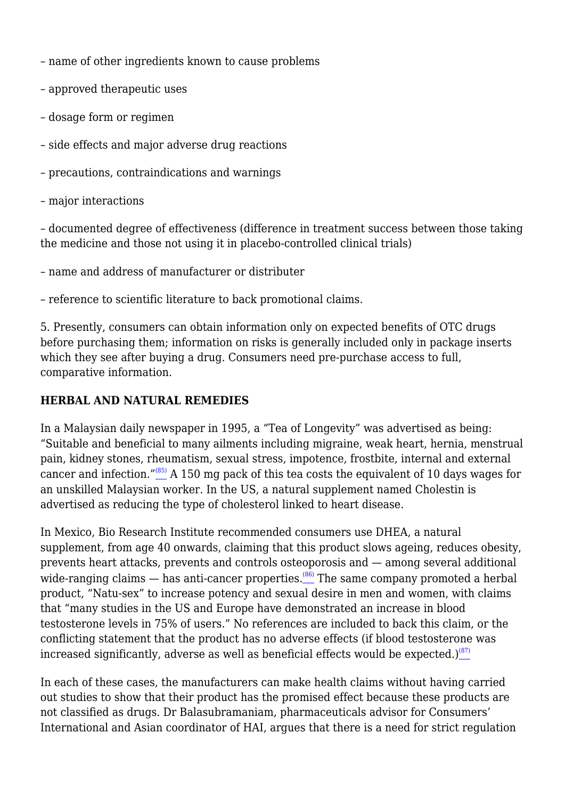- name of other ingredients known to cause problems
- approved therapeutic uses
- dosage form or regimen
- side effects and major adverse drug reactions
- precautions, contraindications and warnings
- major interactions

– documented degree of effectiveness (difference in treatment success between those taking the medicine and those not using it in placebo-controlled clinical trials)

– name and address of manufacturer or distributer

– reference to scientific literature to back promotional claims.

5. Presently, consumers can obtain information only on expected benefits of OTC drugs before purchasing them; information on risks is generally included only in package inserts which they see after buying a drug. Consumers need pre-purchase access to full, comparative information.

#### **HERBAL AND NATURAL REMEDIES**

In a Malaysian daily newspaper in 1995, a "Tea of Longevity" was advertised as being: "Suitable and beneficial to many ailments including migraine, weak heart, hernia, menstrual pain, kidney stones, rheumatism, sexual stress, impotence, frostbite, internal and external cancer and infection."[\(85\)](file:///C:/Users/Dimity/OneDrive%20-%20HAI/Reports,%20papers/Blurring/blurring.ch1.html#N_85_) A 150 mg pack of this tea costs the equivalent of 10 days wages for an unskilled Malaysian worker. In the US, a natural supplement named Cholestin is advertised as reducing the type of cholesterol linked to heart disease.

In Mexico, Bio Research Institute recommended consumers use DHEA, a natural supplement, from age 40 onwards, claiming that this product slows ageing, reduces obesity, prevents heart attacks, prevents and controls osteoporosis and — among several additional wide-ranging claims  $-$  has anti-cancer properties.<sup>[\(86\)](file:///C:/Users/Dimity/OneDrive%20-%20HAI/Reports,%20papers/Blurring/blurring.ch1.html#N_86_)</sup> The same company promoted a herbal product, "Natu-sex" to increase potency and sexual desire in men and women, with claims that "many studies in the US and Europe have demonstrated an increase in blood testosterone levels in 75% of users." No references are included to back this claim, or the conflicting statement that the product has no adverse effects (if blood testosterone was increased significantly, adverse as well as beneficial effects would be expected.) $\frac{(87)}{2}$  $\frac{(87)}{2}$  $\frac{(87)}{2}$ 

In each of these cases, the manufacturers can make health claims without having carried out studies to show that their product has the promised effect because these products are not classified as drugs. Dr Balasubramaniam, pharmaceuticals advisor for Consumers' International and Asian coordinator of HAI, argues that there is a need for strict regulation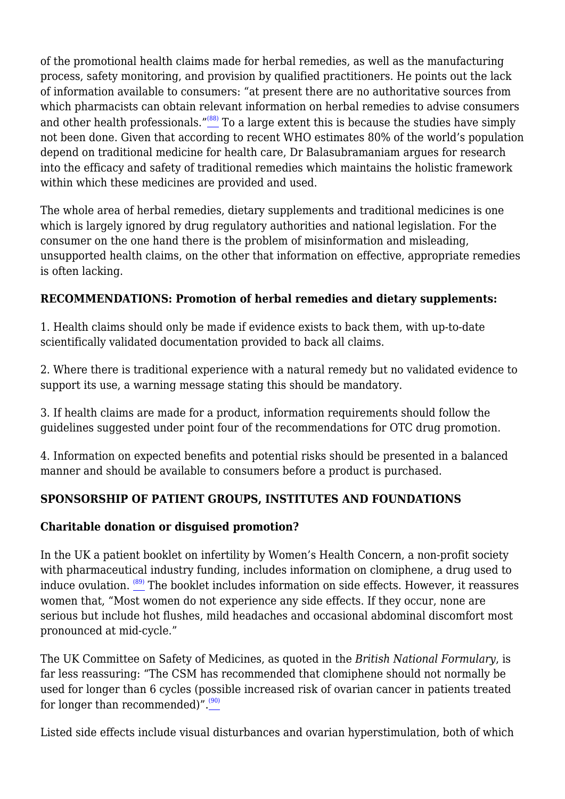of the promotional health claims made for herbal remedies, as well as the manufacturing process, safety monitoring, and provision by qualified practitioners. He points out the lack of information available to consumers: "at present there are no authoritative sources from which pharmacists can obtain relevant information on herbal remedies to advise consumers and other health professionals." $(88)$  To a large extent this is because the studies have simply not been done. Given that according to recent WHO estimates 80% of the world's population depend on traditional medicine for health care, Dr Balasubramaniam argues for research into the efficacy and safety of traditional remedies which maintains the holistic framework within which these medicines are provided and used.

The whole area of herbal remedies, dietary supplements and traditional medicines is one which is largely ignored by drug regulatory authorities and national legislation. For the consumer on the one hand there is the problem of misinformation and misleading, unsupported health claims, on the other that information on effective, appropriate remedies is often lacking.

## **RECOMMENDATIONS: Promotion of herbal remedies and dietary supplements:**

1. Health claims should only be made if evidence exists to back them, with up-to-date scientifically validated documentation provided to back all claims.

2. Where there is traditional experience with a natural remedy but no validated evidence to support its use, a warning message stating this should be mandatory.

3. If health claims are made for a product, information requirements should follow the guidelines suggested under point four of the recommendations for OTC drug promotion.

4. Information on expected benefits and potential risks should be presented in a balanced manner and should be available to consumers before a product is purchased.

## **SPONSORSHIP OF PATIENT GROUPS, INSTITUTES AND FOUNDATIONS**

#### **Charitable donation or disguised promotion?**

In the UK a patient booklet on infertility by Women's Health Concern, a non-profit society with pharmaceutical industry funding, includes information on clomiphene, a drug used to induce ovulation.  $\frac{(89)}{2}$  $\frac{(89)}{2}$  $\frac{(89)}{2}$  The booklet includes information on side effects. However, it reassures women that, "Most women do not experience any side effects. If they occur, none are serious but include hot flushes, mild headaches and occasional abdominal discomfort most pronounced at mid-cycle."

The UK Committee on Safety of Medicines, as quoted in the *British National Formulary*, is far less reassuring: "The CSM has recommended that clomiphene should not normally be used for longer than 6 cycles (possible increased risk of ovarian cancer in patients treated for longer than recommended)". $\frac{(90)}{4}$  $\frac{(90)}{4}$  $\frac{(90)}{4}$ 

Listed side effects include visual disturbances and ovarian hyperstimulation, both of which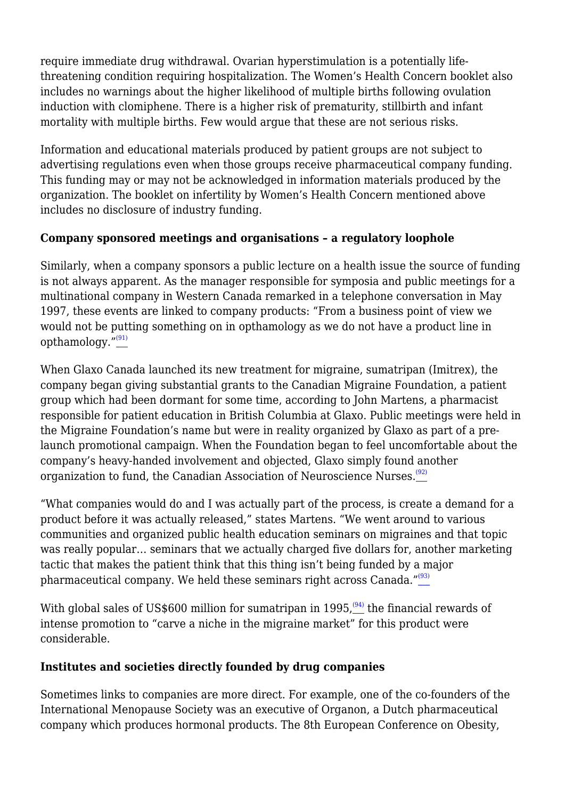require immediate drug withdrawal. Ovarian hyperstimulation is a potentially lifethreatening condition requiring hospitalization. The Women's Health Concern booklet also includes no warnings about the higher likelihood of multiple births following ovulation induction with clomiphene. There is a higher risk of prematurity, stillbirth and infant mortality with multiple births. Few would argue that these are not serious risks.

Information and educational materials produced by patient groups are not subject to advertising regulations even when those groups receive pharmaceutical company funding. This funding may or may not be acknowledged in information materials produced by the organization. The booklet on infertility by Women's Health Concern mentioned above includes no disclosure of industry funding.

## **Company sponsored meetings and organisations – a regulatory loophole**

Similarly, when a company sponsors a public lecture on a health issue the source of funding is not always apparent. As the manager responsible for symposia and public meetings for a multinational company in Western Canada remarked in a telephone conversation in May 1997, these events are linked to company products: "From a business point of view we would not be putting something on in opthamology as we do not have a product line in opthamology. $\frac{v^{(91)}}{2}$  $\frac{v^{(91)}}{2}$  $\frac{v^{(91)}}{2}$ 

When Glaxo Canada launched its new treatment for migraine, sumatripan (Imitrex), the company began giving substantial grants to the Canadian Migraine Foundation, a patient group which had been dormant for some time, according to John Martens, a pharmacist responsible for patient education in British Columbia at Glaxo. Public meetings were held in the Migraine Foundation's name but were in reality organized by Glaxo as part of a prelaunch promotional campaign. When the Foundation began to feel uncomfortable about the company's heavy-handed involvement and objected, Glaxo simply found another organization to fund, the Canadian Association of Neuroscience Nurses.<sup>[\(92\)](file:///C:/Users/Dimity/OneDrive%20-%20HAI/Reports,%20papers/Blurring/blurring.ch1.html#N_92_)</sup>

"What companies would do and I was actually part of the process, is create a demand for a product before it was actually released," states Martens. "We went around to various communities and organized public health education seminars on migraines and that topic was really popular… seminars that we actually charged five dollars for, another marketing tactic that makes the patient think that this thing isn't being funded by a major pharmaceutical company. We held these seminars right across Canada." $\frac{^{(93)}}{2}$  $\frac{^{(93)}}{2}$  $\frac{^{(93)}}{2}$ 

With global sales of US\$600 million for sumatripan in 1995,  $(94)$  the financial rewards of intense promotion to "carve a niche in the migraine market" for this product were considerable.

## **Institutes and societies directly founded by drug companies**

Sometimes links to companies are more direct. For example, one of the co-founders of the International Menopause Society was an executive of Organon, a Dutch pharmaceutical company which produces hormonal products. The 8th European Conference on Obesity,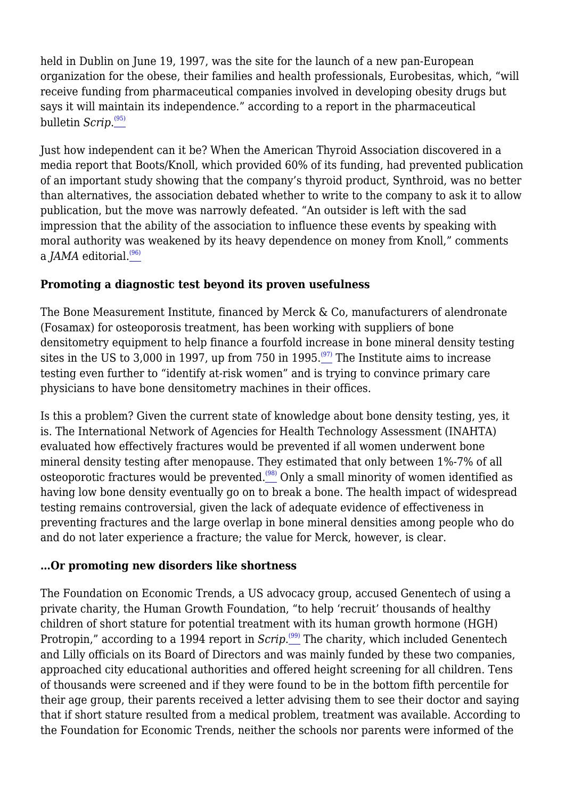held in Dublin on June 19, 1997, was the site for the launch of a new pan-European organization for the obese, their families and health professionals, Eurobesitas, which, "will receive funding from pharmaceutical companies involved in developing obesity drugs but says it will maintain its independence." according to a report in the pharmaceutical bulletin *Scrip*. $\overset{\text{\tiny{(95)}}}{\_\!\_\,}$  $\overset{\text{\tiny{(95)}}}{\_\!\_\,}$  $\overset{\text{\tiny{(95)}}}{\_\!\_\,}$ 

Just how independent can it be? When the American Thyroid Association discovered in a media report that Boots/Knoll, which provided 60% of its funding, had prevented publication of an important study showing that the company's thyroid product, Synthroid, was no better than alternatives, the association debated whether to write to the company to ask it to allow publication, but the move was narrowly defeated. "An outsider is left with the sad impression that the ability of the association to influence these events by speaking with moral authority was weakened by its heavy dependence on money from Knoll," comments a *JAMA* editorial. $(96)$ 

## **Promoting a diagnostic test beyond its proven usefulness**

The Bone Measurement Institute, financed by Merck & Co, manufacturers of alendronate (Fosamax) for osteoporosis treatment, has been working with suppliers of bone densitometry equipment to help finance a fourfold increase in bone mineral density testing sites in the US to 3,000 in 1997, up from 750 in 1995.<sup> $(97)$ </sup> The Institute aims to increase testing even further to "identify at-risk women" and is trying to convince primary care physicians to have bone densitometry machines in their offices.

Is this a problem? Given the current state of knowledge about bone density testing, yes, it is. The International Network of Agencies for Health Technology Assessment (INAHTA) evaluated how effectively fractures would be prevented if all women underwent bone mineral density testing after menopause. They estimated that only between 1%-7% of all osteoporotic fractures would be prevented.[\(98\)](file:///C:/Users/Dimity/OneDrive%20-%20HAI/Reports,%20papers/Blurring/blurring.ch1.html#N_98_) Only a small minority of women identified as having low bone density eventually go on to break a bone. The health impact of widespread testing remains controversial, given the lack of adequate evidence of effectiveness in preventing fractures and the large overlap in bone mineral densities among people who do and do not later experience a fracture; the value for Merck, however, is clear.

## **…Or promoting new disorders like shortness**

The Foundation on Economic Trends, a US advocacy group, accused Genentech of using a private charity, the Human Growth Foundation, "to help 'recruit' thousands of healthy children of short stature for potential treatment with its human growth hormone (HGH) Protropin," according to a 1994 report in *Scrip*.<sup>[\(99\)](file:///C:/Users/Dimity/OneDrive%20-%20HAI/Reports,%20papers/Blurring/blurring.ch1.html#N_99_)</sup> The charity, which included Genentech and Lilly officials on its Board of Directors and was mainly funded by these two companies, approached city educational authorities and offered height screening for all children. Tens of thousands were screened and if they were found to be in the bottom fifth percentile for their age group, their parents received a letter advising them to see their doctor and saying that if short stature resulted from a medical problem, treatment was available. According to the Foundation for Economic Trends, neither the schools nor parents were informed of the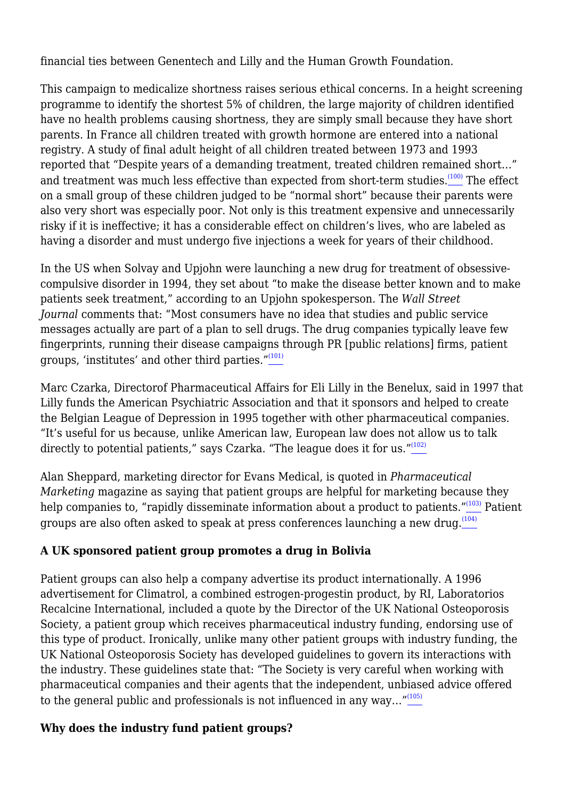financial ties between Genentech and Lilly and the Human Growth Foundation.

This campaign to medicalize shortness raises serious ethical concerns. In a height screening programme to identify the shortest 5% of children, the large majority of children identified have no health problems causing shortness, they are simply small because they have short parents. In France all children treated with growth hormone are entered into a national registry. A study of final adult height of all children treated between 1973 and 1993 reported that "Despite years of a demanding treatment, treated children remained short…" and treatment was much less effective than expected from short-term studies.<sup> $(100)$ </sup> The effect on a small group of these children judged to be "normal short" because their parents were also very short was especially poor. Not only is this treatment expensive and unnecessarily risky if it is ineffective; it has a considerable effect on children's lives, who are labeled as having a disorder and must undergo five injections a week for years of their childhood.

In the US when Solvay and Upjohn were launching a new drug for treatment of obsessivecompulsive disorder in 1994, they set about "to make the disease better known and to make patients seek treatment," according to an Upjohn spokesperson. The *Wall Street Journal* comments that: "Most consumers have no idea that studies and public service messages actually are part of a plan to sell drugs. The drug companies typically leave few fingerprints, running their disease campaigns through PR [public relations] firms, patient groups, 'institutes' and other third parties."[\(101\)](file:///C:/Users/Dimity/OneDrive%20-%20HAI/Reports,%20papers/Blurring/blurring.ch1.html#N_101_)

Marc Czarka, Directorof Pharmaceutical Affairs for Eli Lilly in the Benelux, said in 1997 that Lilly funds the American Psychiatric Association and that it sponsors and helped to create the Belgian League of Depression in 1995 together with other pharmaceutical companies. "It's useful for us because, unlike American law, European law does not allow us to talk directly to potential patients," says Czarka. "The league does it for us."<sup>[\(102\)](file:///C:/Users/Dimity/OneDrive%20-%20HAI/Reports,%20papers/Blurring/blurring.ch1.html#N_102_)</sup>

Alan Sheppard, marketing director for Evans Medical, is quoted in *Pharmaceutical Marketing* magazine as saying that patient groups are helpful for marketing because they help companies to, "rapidly disseminate information about a product to patients."[103] Patient groups are also often asked to speak at press conferences launching a new drug.<sup>[\(104\)](file:///C:/Users/Dimity/OneDrive%20-%20HAI/Reports,%20papers/Blurring/blurring.ch1.html#N_104_)</sup>

# **A UK sponsored patient group promotes a drug in Bolivia**

Patient groups can also help a company advertise its product internationally. A 1996 advertisement for Climatrol, a combined estrogen-progestin product, by RI, Laboratorios Recalcine International, included a quote by the Director of the UK National Osteoporosis Society, a patient group which receives pharmaceutical industry funding, endorsing use of this type of product. Ironically, unlike many other patient groups with industry funding, the UK National Osteoporosis Society has developed guidelines to govern its interactions with the industry. These guidelines state that: "The Society is very careful when working with pharmaceutical companies and their agents that the independent, unbiased advice offered to the general public and professionals is not influenced in any way... $\frac{1}{105}$ 

# **Why does the industry fund patient groups?**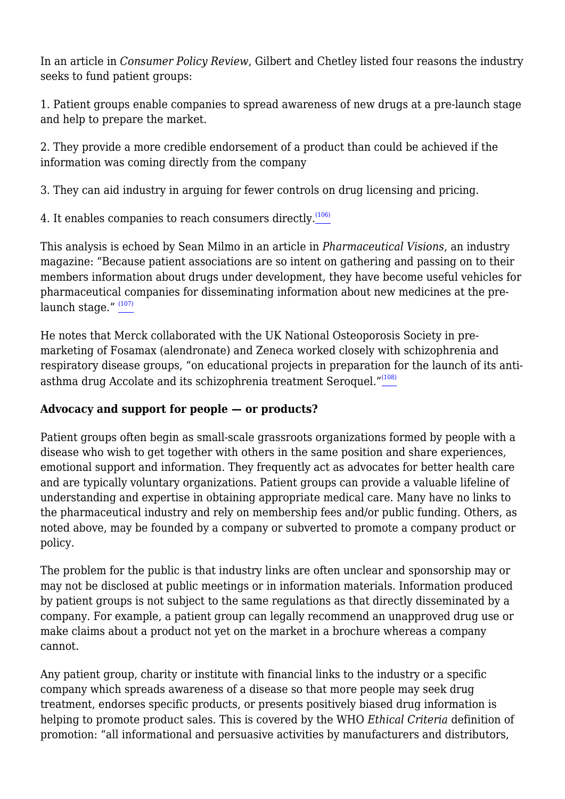In an article in *Consumer Policy Review*, Gilbert and Chetley listed four reasons the industry seeks to fund patient groups:

1. Patient groups enable companies to spread awareness of new drugs at a pre-launch stage and help to prepare the market.

2. They provide a more credible endorsement of a product than could be achieved if the information was coming directly from the company

3. They can aid industry in arguing for fewer controls on drug licensing and pricing.

4. It enables companies to reach consumers directly.<sup>[\(106\)](file:///C:/Users/Dimity/OneDrive%20-%20HAI/Reports,%20papers/Blurring/blurring.ch1.html#N_106_)</sup>

This analysis is echoed by Sean Milmo in an article in *Pharmaceutical Visions*, an industry magazine: "Because patient associations are so intent on gathering and passing on to their members information about drugs under development, they have become useful vehicles for pharmaceutical companies for disseminating information about new medicines at the pre-launch stage." [\(107\)](file:///C:/Users/Dimity/OneDrive%20-%20HAI/Reports,%20papers/Blurring/blurring.ch1.html#N_107_)

He notes that Merck collaborated with the UK National Osteoporosis Society in premarketing of Fosamax (alendronate) and Zeneca worked closely with schizophrenia and respiratory disease groups, "on educational projects in preparation for the launch of its anti-asthma drug Accolate and its schizophrenia treatment Seroquel."<sup>[\(108\)](file:///C:/Users/Dimity/OneDrive%20-%20HAI/Reports,%20papers/Blurring/blurring.ch1.html#N_108_)</sup>

# **Advocacy and support for people — or products?**

Patient groups often begin as small-scale grassroots organizations formed by people with a disease who wish to get together with others in the same position and share experiences, emotional support and information. They frequently act as advocates for better health care and are typically voluntary organizations. Patient groups can provide a valuable lifeline of understanding and expertise in obtaining appropriate medical care. Many have no links to the pharmaceutical industry and rely on membership fees and/or public funding. Others, as noted above, may be founded by a company or subverted to promote a company product or policy.

The problem for the public is that industry links are often unclear and sponsorship may or may not be disclosed at public meetings or in information materials. Information produced by patient groups is not subject to the same regulations as that directly disseminated by a company. For example, a patient group can legally recommend an unapproved drug use or make claims about a product not yet on the market in a brochure whereas a company cannot.

Any patient group, charity or institute with financial links to the industry or a specific company which spreads awareness of a disease so that more people may seek drug treatment, endorses specific products, or presents positively biased drug information is helping to promote product sales. This is covered by the WHO *Ethical Criteria* definition of promotion: "all informational and persuasive activities by manufacturers and distributors,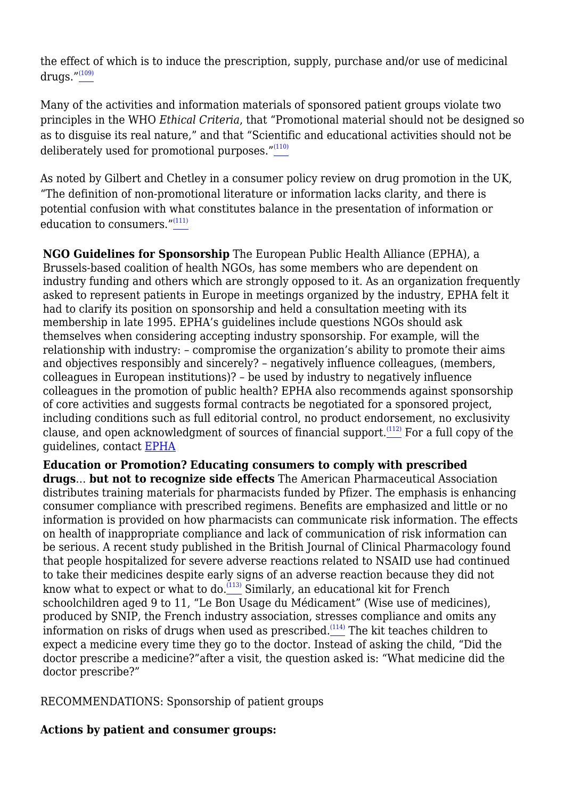the effect of which is to induce the prescription, supply, purchase and/or use of medicinal drugs. $^{\prime\prime(109)}$  $^{\prime\prime(109)}$  $^{\prime\prime(109)}$ 

Many of the activities and information materials of sponsored patient groups violate two principles in the WHO *Ethical Criteria*, that "Promotional material should not be designed so as to disguise its real nature," and that "Scientific and educational activities should not be deliberately used for promotional purposes."[\(110\)](file:///C:/Users/Dimity/OneDrive%20-%20HAI/Reports,%20papers/Blurring/blurring.ch1.html#N_110_)

As noted by Gilbert and Chetley in a consumer policy review on drug promotion in the UK, "The definition of non-promotional literature or information lacks clarity, and there is potential confusion with what constitutes balance in the presentation of information or education to consumers."<sup>[\(111\)](file:///C:/Users/Dimity/OneDrive%20-%20HAI/Reports,%20papers/Blurring/blurring.ch1.html#N_111_)</sup>

**NGO Guidelines for Sponsorship** The European Public Health Alliance (EPHA), a Brussels-based coalition of health NGOs, has some members who are dependent on industry funding and others which are strongly opposed to it. As an organization frequently asked to represent patients in Europe in meetings organized by the industry, EPHA felt it had to clarify its position on sponsorship and held a consultation meeting with its membership in late 1995. EPHA's guidelines include questions NGOs should ask themselves when considering accepting industry sponsorship. For example, will the relationship with industry: – compromise the organization's ability to promote their aims and objectives responsibly and sincerely? – negatively influence colleagues, (members, colleagues in European institutions)? – be used by industry to negatively influence colleagues in the promotion of public health? EPHA also recommends against sponsorship of core activities and suggests formal contracts be negotiated for a sponsored project, including conditions such as full editorial control, no product endorsement, no exclusivity clause, and open acknowledgment of sources of financial support.[\(112\)](file:///C:/Users/Dimity/OneDrive%20-%20HAI/Reports,%20papers/Blurring/blurring.ch1.html#N_112_) For a full copy of the guidelines, contact [EPHA](mailto:%20epha@epha.org)

**Education or Promotion? Educating consumers to comply with prescribed drugs**… **but not to recognize side effects** The American Pharmaceutical Association distributes training materials for pharmacists funded by Pfizer. The emphasis is enhancing consumer compliance with prescribed regimens. Benefits are emphasized and little or no information is provided on how pharmacists can communicate risk information. The effects on health of inappropriate compliance and lack of communication of risk information can be serious. A recent study published in the British Journal of Clinical Pharmacology found that people hospitalized for severe adverse reactions related to NSAID use had continued to take their medicines despite early signs of an adverse reaction because they did not know what to expect or what to do. $\frac{(113)}{2}$  $\frac{(113)}{2}$  $\frac{(113)}{2}$  Similarly, an educational kit for French schoolchildren aged 9 to 11, "Le Bon Usage du Médicament" (Wise use of medicines), produced by SNIP, the French industry association, stresses compliance and omits any information on risks of drugs when used as prescribed. $\frac{(114)}{100}$  $\frac{(114)}{100}$  $\frac{(114)}{100}$  The kit teaches children to expect a medicine every time they go to the doctor. Instead of asking the child, "Did the doctor prescribe a medicine?"after a visit, the question asked is: "What medicine did the doctor prescribe?"

RECOMMENDATIONS: Sponsorship of patient groups

## **Actions by patient and consumer groups:**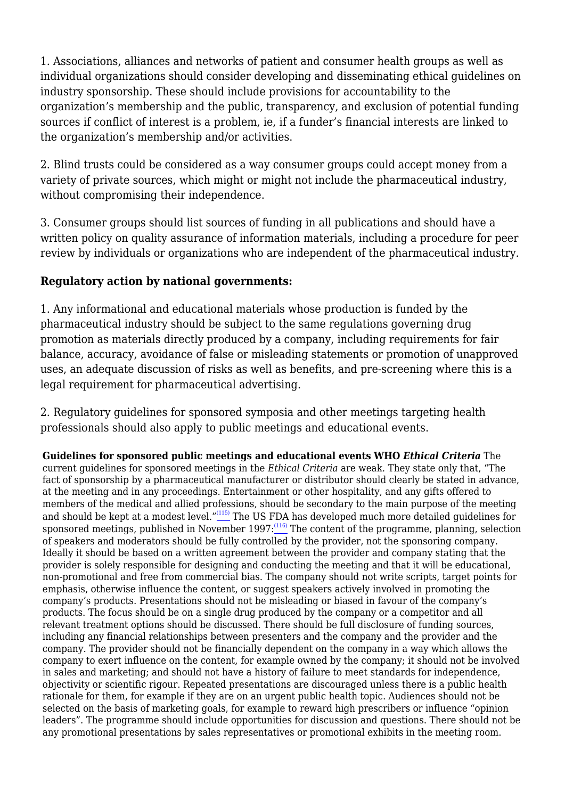1. Associations, alliances and networks of patient and consumer health groups as well as individual organizations should consider developing and disseminating ethical guidelines on industry sponsorship. These should include provisions for accountability to the organization's membership and the public, transparency, and exclusion of potential funding sources if conflict of interest is a problem, ie, if a funder's financial interests are linked to the organization's membership and/or activities.

2. Blind trusts could be considered as a way consumer groups could accept money from a variety of private sources, which might or might not include the pharmaceutical industry, without compromising their independence.

3. Consumer groups should list sources of funding in all publications and should have a written policy on quality assurance of information materials, including a procedure for peer review by individuals or organizations who are independent of the pharmaceutical industry.

#### **Regulatory action by national governments:**

1. Any informational and educational materials whose production is funded by the pharmaceutical industry should be subject to the same regulations governing drug promotion as materials directly produced by a company, including requirements for fair balance, accuracy, avoidance of false or misleading statements or promotion of unapproved uses, an adequate discussion of risks as well as benefits, and pre-screening where this is a legal requirement for pharmaceutical advertising.

2. Regulatory guidelines for sponsored symposia and other meetings targeting health professionals should also apply to public meetings and educational events.

**Guidelines for sponsored public meetings and educational events WHO** *Ethical Criteria* The current guidelines for sponsored meetings in the *Ethical Criteria* are weak. They state only that, "The fact of sponsorship by a pharmaceutical manufacturer or distributor should clearly be stated in advance, at the meeting and in any proceedings. Entertainment or other hospitality, and any gifts offered to members of the medical and allied professions, should be secondary to the main purpose of the meeting and should be kept at a modest level."[\(115\)](file:///C:/Users/Dimity/OneDrive%20-%20HAI/Reports,%20papers/Blurring/blurring.ch1.html#N_115_) The US FDA has developed much more detailed guidelines for sponsored meetings, published in November 1997: $(116)$  The content of the programme, planning, selection of speakers and moderators should be fully controlled by the provider, not the sponsoring company. Ideally it should be based on a written agreement between the provider and company stating that the provider is solely responsible for designing and conducting the meeting and that it will be educational, non-promotional and free from commercial bias. The company should not write scripts, target points for emphasis, otherwise influence the content, or suggest speakers actively involved in promoting the company's products. Presentations should not be misleading or biased in favour of the company's products. The focus should be on a single drug produced by the company or a competitor and all relevant treatment options should be discussed. There should be full disclosure of funding sources, including any financial relationships between presenters and the company and the provider and the company. The provider should not be financially dependent on the company in a way which allows the company to exert influence on the content, for example owned by the company; it should not be involved in sales and marketing; and should not have a history of failure to meet standards for independence, objectivity or scientific rigour. Repeated presentations are discouraged unless there is a public health rationale for them, for example if they are on an urgent public health topic. Audiences should not be selected on the basis of marketing goals, for example to reward high prescribers or influence "opinion" leaders". The programme should include opportunities for discussion and questions. There should not be any promotional presentations by sales representatives or promotional exhibits in the meeting room.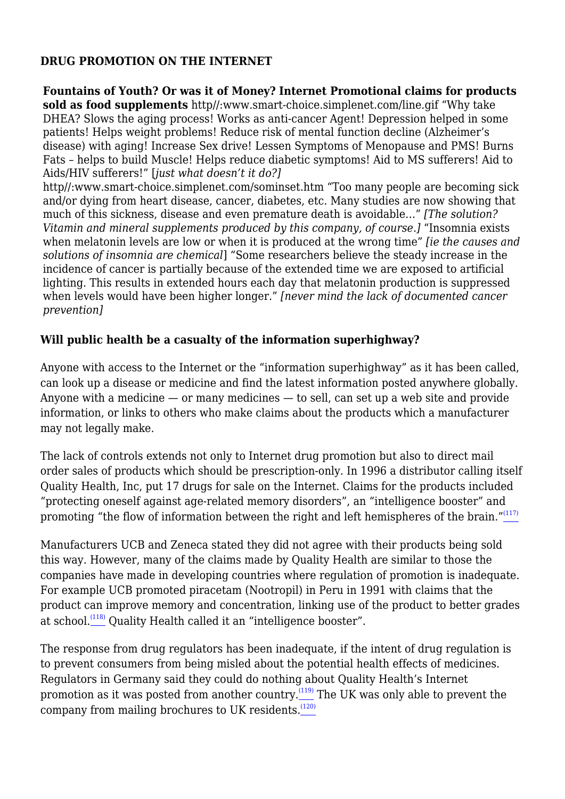#### **DRUG PROMOTION ON THE INTERNET**

**Fountains of Youth? Or was it of Money? Internet Promotional claims for products sold as food supplements** http//:www.smart-choice.simplenet.com/line.gif "Why take DHEA? Slows the aging process! Works as anti-cancer Agent! Depression helped in some patients! Helps weight problems! Reduce risk of mental function decline (Alzheimer's disease) with aging! Increase Sex drive! Lessen Symptoms of Menopause and PMS! Burns Fats – helps to build Muscle! Helps reduce diabetic symptoms! Aid to MS sufferers! Aid to Aids/HIV sufferers!" [*just what doesn't it do?]*

http//:www.smart-choice.simplenet.com/sominset.htm "Too many people are becoming sick and/or dying from heart disease, cancer, diabetes, etc. Many studies are now showing that much of this sickness, disease and even premature death is avoidable…" *[The solution? Vitamin and mineral supplements produced by this company, of course.]* "Insomnia exists when melatonin levels are low or when it is produced at the wrong time" *[ie the causes and solutions of insomnia are chemical*] "Some researchers believe the steady increase in the incidence of cancer is partially because of the extended time we are exposed to artificial lighting. This results in extended hours each day that melatonin production is suppressed when levels would have been higher longer." *[never mind the lack of documented cancer prevention]*

#### **Will public health be a casualty of the information superhighway?**

Anyone with access to the Internet or the "information superhighway" as it has been called, can look up a disease or medicine and find the latest information posted anywhere globally. Anyone with a medicine  $-$  or many medicines  $-$  to sell, can set up a web site and provide information, or links to others who make claims about the products which a manufacturer may not legally make.

The lack of controls extends not only to Internet drug promotion but also to direct mail order sales of products which should be prescription-only. In 1996 a distributor calling itself Quality Health, Inc, put 17 drugs for sale on the Internet. Claims for the products included "protecting oneself against age-related memory disorders", an "intelligence booster" and promoting "the flow of information between the right and left hemispheres of the brain."<sup>[\(117\)](file:///C:/Users/Dimity/OneDrive%20-%20HAI/Reports,%20papers/Blurring/blurring.ch1.html#N_117_)</sup>

Manufacturers UCB and Zeneca stated they did not agree with their products being sold this way. However, many of the claims made by Quality Health are similar to those the companies have made in developing countries where regulation of promotion is inadequate. For example UCB promoted piracetam (Nootropil) in Peru in 1991 with claims that the product can improve memory and concentration, linking use of the product to better grades at school.<sup>[\(118\)](file:///C:/Users/Dimity/OneDrive%20-%20HAI/Reports,%20papers/Blurring/blurring.ch1.html#N_118_)</sup> Quality Health called it an "intelligence booster".

The response from drug regulators has been inadequate, if the intent of drug regulation is to prevent consumers from being misled about the potential health effects of medicines. Regulators in Germany said they could do nothing about Quality Health's Internet promotion as it was posted from another country.<sup>[\(119\)](file:///C:/Users/Dimity/OneDrive%20-%20HAI/Reports,%20papers/Blurring/blurring.ch1.html#N_119_)</sup> The UK was only able to prevent the company from mailing brochures to UK residents.<sup>[\(120\)](file:///C:/Users/Dimity/OneDrive%20-%20HAI/Reports,%20papers/Blurring/blurring.ch1.html#N_120_)</sup>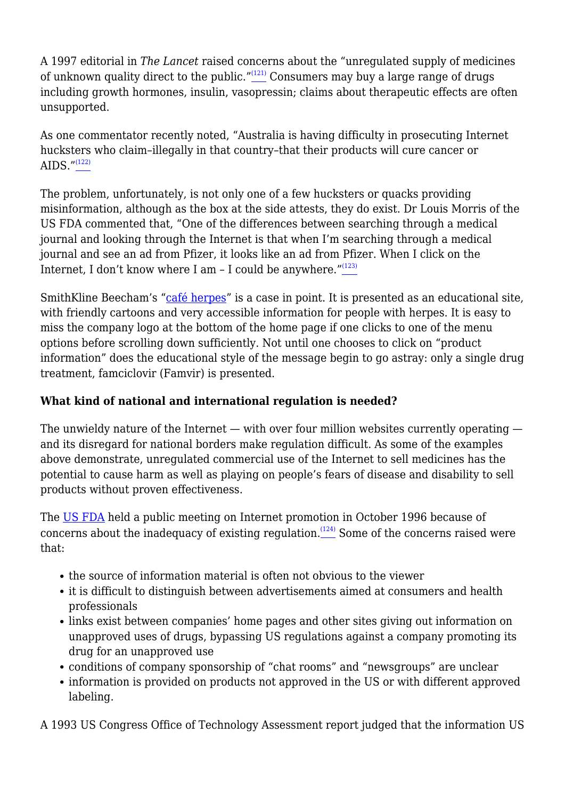A 1997 editorial in *The Lancet* raised concerns about the "unregulated supply of medicines of unknown quality direct to the public." $(121)$  Consumers may buy a large range of drugs including growth hormones, insulin, vasopressin; claims about therapeutic effects are often unsupported.

As one commentator recently noted, "Australia is having difficulty in prosecuting Internet hucksters who claim–illegally in that country–that their products will cure cancer or AIDS." $(122)$ 

The problem, unfortunately, is not only one of a few hucksters or quacks providing misinformation, although as the box at the side attests, they do exist. Dr Louis Morris of the US FDA commented that, "One of the differences between searching through a medical journal and looking through the Internet is that when I'm searching through a medical journal and see an ad from Pfizer, it looks like an ad from Pfizer. When I click on the Internet, I don't know where I am  $-$  I could be anywhere." $\frac{123}{2}$ 

SmithKline Beecham's "[café herpes"](http://www.cafeherpe.com) is a case in point. It is presented as an educational site, with friendly cartoons and very accessible information for people with herpes. It is easy to miss the company logo at the bottom of the home page if one clicks to one of the menu options before scrolling down sufficiently. Not until one chooses to click on "product information" does the educational style of the message begin to go astray: only a single drug treatment, famciclovir (Famvir) is presented.

## **What kind of national and international regulation is needed?**

The unwieldy nature of the Internet — with over four million websites currently operating and its disregard for national borders make regulation difficult. As some of the examples above demonstrate, unregulated commercial use of the Internet to sell medicines has the potential to cause harm as well as playing on people's fears of disease and disability to sell products without proven effectiveness.

The [US FDA](http://www.fda.gov) held a public meeting on Internet promotion in October 1996 because of concerns about the inadequacy of existing regulation. $(124)$  Some of the concerns raised were that:

- the source of information material is often not obvious to the viewer
- it is difficult to distinguish between advertisements aimed at consumers and health professionals
- links exist between companies' home pages and other sites giving out information on unapproved uses of drugs, bypassing US regulations against a company promoting its drug for an unapproved use
- conditions of company sponsorship of "chat rooms" and "newsgroups" are unclear
- information is provided on products not approved in the US or with different approved labeling.

A 1993 US Congress Office of Technology Assessment report judged that the information US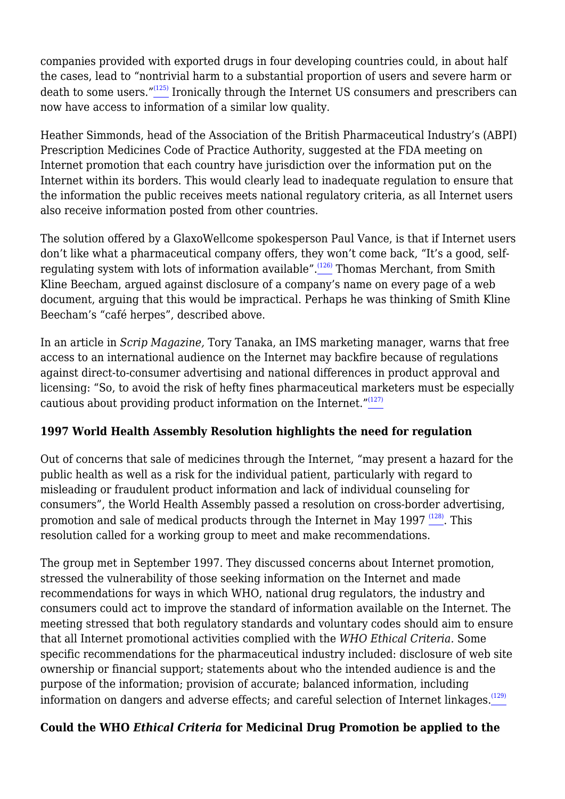companies provided with exported drugs in four developing countries could, in about half the cases, lead to "nontrivial harm to a substantial proportion of users and severe harm or death to some users."[\(125\)](file:///C:/Users/Dimity/OneDrive%20-%20HAI/Reports,%20papers/Blurring/blurring.ch1.html#N_125_) Ironically through the Internet US consumers and prescribers can now have access to information of a similar low quality.

Heather Simmonds, head of the Association of the British Pharmaceutical Industry's (ABPI) Prescription Medicines Code of Practice Authority, suggested at the FDA meeting on Internet promotion that each country have jurisdiction over the information put on the Internet within its borders. This would clearly lead to inadequate regulation to ensure that the information the public receives meets national regulatory criteria, as all Internet users also receive information posted from other countries.

The solution offered by a GlaxoWellcome spokesperson Paul Vance, is that if Internet users don't like what a pharmaceutical company offers, they won't come back, "It's a good, self-regulating system with lots of information available".<sup>[\(126\)](file:///C:/Users/Dimity/OneDrive%20-%20HAI/Reports,%20papers/Blurring/blurring.ch1.html#N_126_)</sup> Thomas Merchant, from Smith Kline Beecham, argued against disclosure of a company's name on every page of a web document, arguing that this would be impractical. Perhaps he was thinking of Smith Kline Beecham's "café herpes", described above.

In an article in *Scrip Magazine,* Tory Tanaka, an IMS marketing manager, warns that free access to an international audience on the Internet may backfire because of regulations against direct-to-consumer advertising and national differences in product approval and licensing: "So, to avoid the risk of hefty fines pharmaceutical marketers must be especially cautious about providing product information on the Internet." $(127)$ 

## **1997 World Health Assembly Resolution highlights the need for regulation**

Out of concerns that sale of medicines through the Internet, "may present a hazard for the public health as well as a risk for the individual patient, particularly with regard to misleading or fraudulent product information and lack of individual counseling for consumers", the World Health Assembly passed a resolution on cross-border advertising, promotion and sale of medical products through the Internet in May 1997  $(128)$ . This resolution called for a working group to meet and make recommendations.

The group met in September 1997*.* They discussed concerns about Internet promotion, stressed the vulnerability of those seeking information on the Internet and made recommendations for ways in which WHO, national drug regulators, the industry and consumers could act to improve the standard of information available on the Internet. The meeting stressed that both regulatory standards and voluntary codes should aim to ensure that all Internet promotional activities complied with the *WHO Ethical Criteria.* Some specific recommendations for the pharmaceutical industry included: disclosure of web site ownership or financial support; statements about who the intended audience is and the purpose of the information; provision of accurate; balanced information, including information on dangers and adverse effects; and careful selection of Internet linkages.<sup>[\(129\)](file:///C:/Users/Dimity/OneDrive%20-%20HAI/Reports,%20papers/Blurring/blurring.ch1.html#N_129_)</sup>

## **Could the WHO** *Ethical Criteria* **for Medicinal Drug Promotion be applied to the**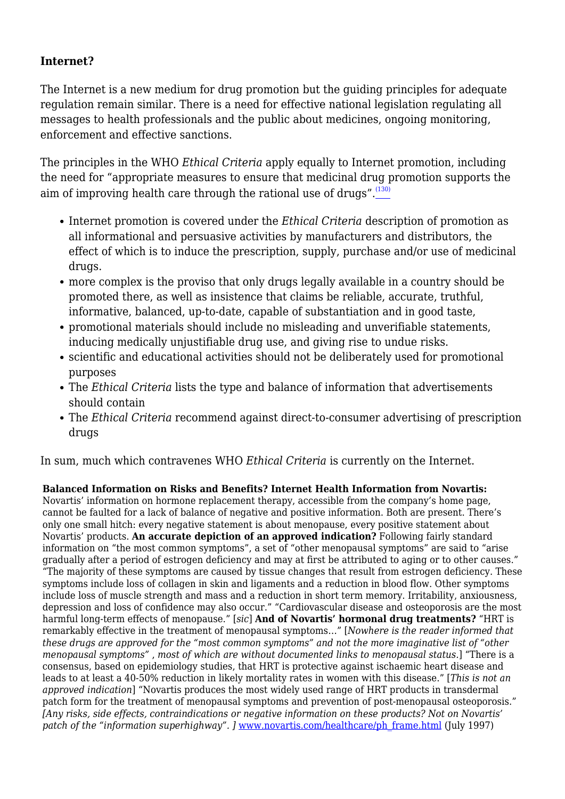#### **Internet?**

The Internet is a new medium for drug promotion but the guiding principles for adequate regulation remain similar. There is a need for effective national legislation regulating all messages to health professionals and the public about medicines, ongoing monitoring, enforcement and effective sanctions.

The principles in the WHO *Ethical Criteria* apply equally to Internet promotion, including the need for "appropriate measures to ensure that medicinal drug promotion supports the aim of improving health care through the rational use of drugs".<sup>[\(130\)](file:///C:/Users/Dimity/OneDrive%20-%20HAI/Reports,%20papers/Blurring/blurring.ch1.html#N_130_)</sup>

- Internet promotion is covered under the *Ethical Criteria* description of promotion as all informational and persuasive activities by manufacturers and distributors, the effect of which is to induce the prescription, supply, purchase and/or use of medicinal drugs.
- more complex is the proviso that only drugs legally available in a country should be promoted there, as well as insistence that claims be reliable, accurate, truthful, informative, balanced, up-to-date, capable of substantiation and in good taste,
- promotional materials should include no misleading and unverifiable statements, inducing medically unjustifiable drug use, and giving rise to undue risks.
- scientific and educational activities should not be deliberately used for promotional purposes
- The *Ethical Criteria* lists the type and balance of information that advertisements should contain
- The *Ethical Criteria* recommend against direct-to-consumer advertising of prescription drugs

In sum, much which contravenes WHO *Ethical Criteria* is currently on the Internet.

**Balanced Information on Risks and Benefits? Internet Health Information from Novartis:** Novartis' information on hormone replacement therapy, accessible from the company's home page, cannot be faulted for a lack of balance of negative and positive information. Both are present. There's only one small hitch: every negative statement is about menopause, every positive statement about Novartis' products. **An accurate depiction of an approved indication?** Following fairly standard information on "the most common symptoms", a set of "other menopausal symptoms" are said to "arise gradually after a period of estrogen deficiency and may at first be attributed to aging or to other causes." "The majority of these symptoms are caused by tissue changes that result from estrogen deficiency. These symptoms include loss of collagen in skin and ligaments and a reduction in blood flow. Other symptoms include loss of muscle strength and mass and a reduction in short term memory. Irritability, anxiousness, depression and loss of confidence may also occur." "Cardiovascular disease and osteoporosis are the most harmful long-term effects of menopause." [*sic*] **And of Novartis' hormonal drug treatments?** "HRT is remarkably effective in the treatment of menopausal symptoms…" [*Nowhere is the reader informed that these drugs are approved for the "most common symptoms" and not the more imaginative list of "other menopausal symptoms"* , *most of which are without documented links to menopausal status.*] "There is a consensus, based on epidemiology studies, that HRT is protective against ischaemic heart disease and leads to at least a 40-50% reduction in likely mortality rates in women with this disease." [*This is not an approved indication*] "Novartis produces the most widely used range of HRT products in transdermal patch form for the treatment of menopausal symptoms and prevention of post-menopausal osteoporosis." *[Any risks, side effects, contraindications or negative information on these products? Not on Novartis'* patch of the "information superhighway". ] [www.novartis.com/healthcare/ph\\_frame.html](http://www.novartis.com/healthcare/ph_frame.html) (July 1997)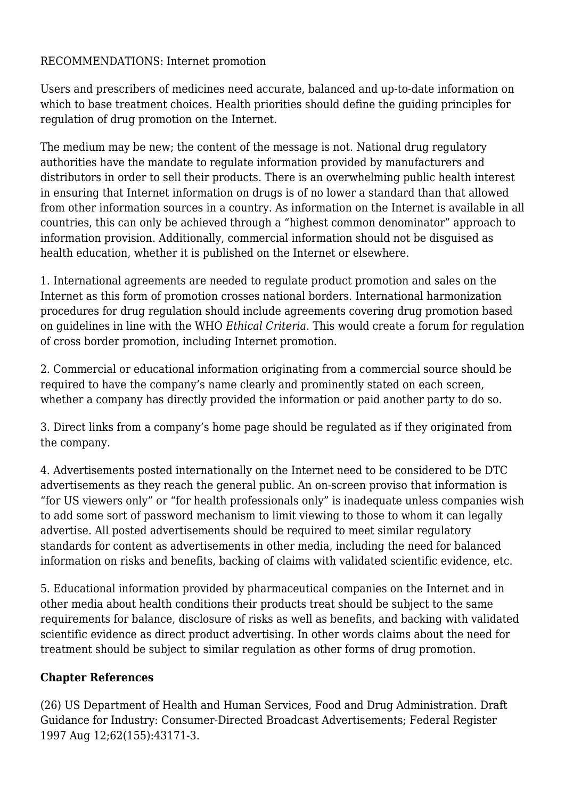#### RECOMMENDATIONS: Internet promotion

Users and prescribers of medicines need accurate, balanced and up-to-date information on which to base treatment choices. Health priorities should define the guiding principles for regulation of drug promotion on the Internet.

The medium may be new; the content of the message is not. National drug regulatory authorities have the mandate to regulate information provided by manufacturers and distributors in order to sell their products. There is an overwhelming public health interest in ensuring that Internet information on drugs is of no lower a standard than that allowed from other information sources in a country. As information on the Internet is available in all countries, this can only be achieved through a "highest common denominator" approach to information provision. Additionally, commercial information should not be disguised as health education, whether it is published on the Internet or elsewhere.

1. International agreements are needed to regulate product promotion and sales on the Internet as this form of promotion crosses national borders. International harmonization procedures for drug regulation should include agreements covering drug promotion based on guidelines in line with the WHO *Ethical Criteria*. This would create a forum for regulation of cross border promotion, including Internet promotion.

2. Commercial or educational information originating from a commercial source should be required to have the company's name clearly and prominently stated on each screen, whether a company has directly provided the information or paid another party to do so.

3. Direct links from a company's home page should be regulated as if they originated from the company.

4. Advertisements posted internationally on the Internet need to be considered to be DTC advertisements as they reach the general public. An on-screen proviso that information is "for US viewers only" or "for health professionals only" is inadequate unless companies wish to add some sort of password mechanism to limit viewing to those to whom it can legally advertise. All posted advertisements should be required to meet similar regulatory standards for content as advertisements in other media, including the need for balanced information on risks and benefits, backing of claims with validated scientific evidence, etc.

5. Educational information provided by pharmaceutical companies on the Internet and in other media about health conditions their products treat should be subject to the same requirements for balance, disclosure of risks as well as benefits, and backing with validated scientific evidence as direct product advertising. In other words claims about the need for treatment should be subject to similar regulation as other forms of drug promotion.

## **Chapter References**

(26) US Department of Health and Human Services, Food and Drug Administration. Draft Guidance for Industry: Consumer-Directed Broadcast Advertisements; Federal Register 1997 Aug 12;62(155):43171-3.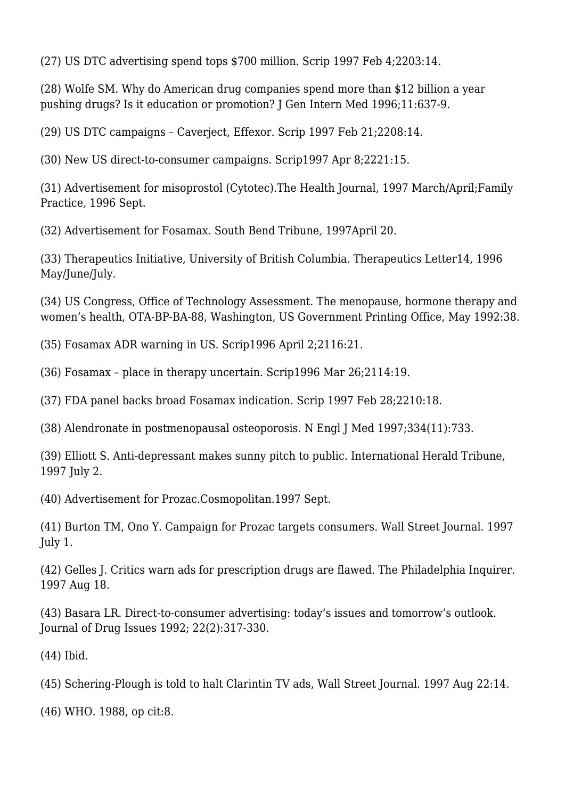(27) US DTC advertising spend tops \$700 million. Scrip 1997 Feb 4;2203:14.

(28) Wolfe SM. Why do American drug companies spend more than \$12 billion a year pushing drugs? Is it education or promotion? J Gen Intern Med 1996;11:637-9.

(29) US DTC campaigns – Caverject, Effexor. Scrip 1997 Feb 21;2208:14.

(30) New US direct-to-consumer campaigns. Scrip1997 Apr 8;2221:15.

(31) Advertisement for misoprostol (Cytotec).The Health Journal, 1997 March/April;Family Practice*,* 1996 Sept.

(32) Advertisement for Fosamax. South Bend Tribune*,* 1997April 20.

(33) Therapeutics Initiative, University of British Columbia. Therapeutics Letter14, 1996 May/June/July.

(34) US Congress, Office of Technology Assessment. The menopause, hormone therapy and women's health, OTA-BP-BA-88, Washington, US Government Printing Office, May 1992:38.

(35) Fosamax ADR warning in US. Scrip1996 April 2;2116:21.

(36) Fosamax – place in therapy uncertain. Scrip1996 Mar 26;2114:19.

(37) FDA panel backs broad Fosamax indication. Scrip 1997 Feb 28;2210:18.

(38) Alendronate in postmenopausal osteoporosis. N Engl J Med 1997;334(11):733.

(39) Elliott S. Anti-depressant makes sunny pitch to public. International Herald Tribune, 1997 July 2.

(40) Advertisement for Prozac.Cosmopolitan.1997 Sept.

(41) Burton TM, Ono Y. Campaign for Prozac targets consumers. Wall Street Journal. 1997 July 1.

(42) Gelles J. Critics warn ads for prescription drugs are flawed. The Philadelphia Inquirer. 1997 Aug 18.

(43) Basara LR. Direct-to-consumer advertising: today's issues and tomorrow's outlook. Journal of Drug Issues 1992; 22(2):317-330.

(44) Ibid.

(45) Schering-Plough is told to halt Clarintin TV ads, Wall Street Journal. 1997 Aug 22:14.

(46) WHO. 1988, op cit:8.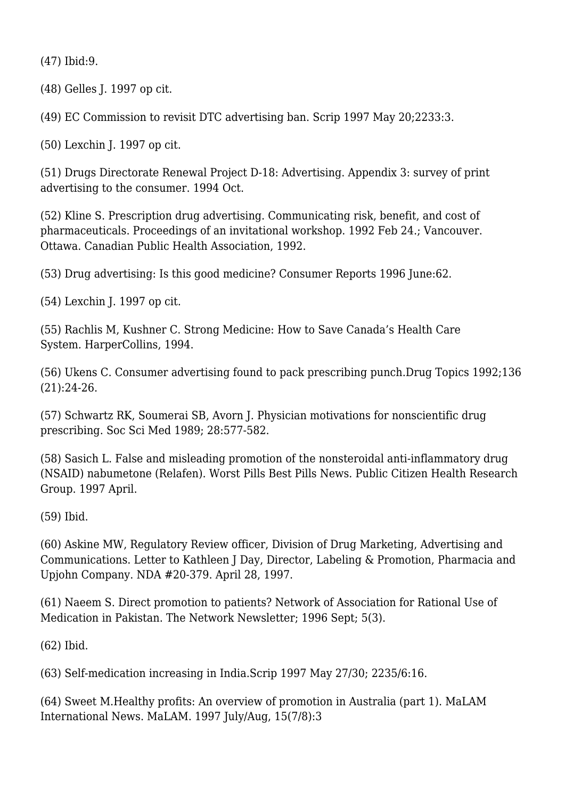(47) Ibid:9.

(48) Gelles J. 1997 op cit.

(49) EC Commission to revisit DTC advertising ban. Scrip 1997 May 20;2233:3.

(50) Lexchin J. 1997 op cit.

(51) Drugs Directorate Renewal Project D-18: Advertising. Appendix 3: survey of print advertising to the consumer. 1994 Oct.

(52) Kline S. Prescription drug advertising. Communicating risk, benefit, and cost of pharmaceuticals. Proceedings of an invitational workshop. 1992 Feb 24.; Vancouver. Ottawa. Canadian Public Health Association, 1992.

(53) Drug advertising: Is this good medicine? Consumer Reports 1996 June:62.

(54) Lexchin J. 1997 op cit.

(55) Rachlis M, Kushner C. Strong Medicine: How to Save Canada's Health Care System*.* HarperCollins, 1994.

(56) Ukens C. Consumer advertising found to pack prescribing punch.Drug Topics 1992;136 (21):24-26.

(57) Schwartz RK, Soumerai SB, Avorn J. Physician motivations for nonscientific drug prescribing. Soc Sci Med 1989; 28:577-582.

(58) Sasich L. False and misleading promotion of the nonsteroidal anti-inflammatory drug (NSAID) nabumetone (Relafen). Worst Pills Best Pills News*.* Public Citizen Health Research Group. 1997 April.

(59) Ibid.

(60) Askine MW, Regulatory Review officer, Division of Drug Marketing, Advertising and Communications. Letter to Kathleen J Day, Director, Labeling & Promotion, Pharmacia and Upjohn Company. NDA #20-379. April 28, 1997.

(61) Naeem S. Direct promotion to patients? Network of Association for Rational Use of Medication in Pakistan. The Network Newsletter; 1996 Sept; 5(3).

(62) Ibid.

(63) Self-medication increasing in India.Scrip 1997 May 27/30; 2235/6:16.

(64) Sweet M.Healthy profits: An overview of promotion in Australia (part 1). MaLAM International News. MaLAM. 1997 July/Aug, 15(7/8):3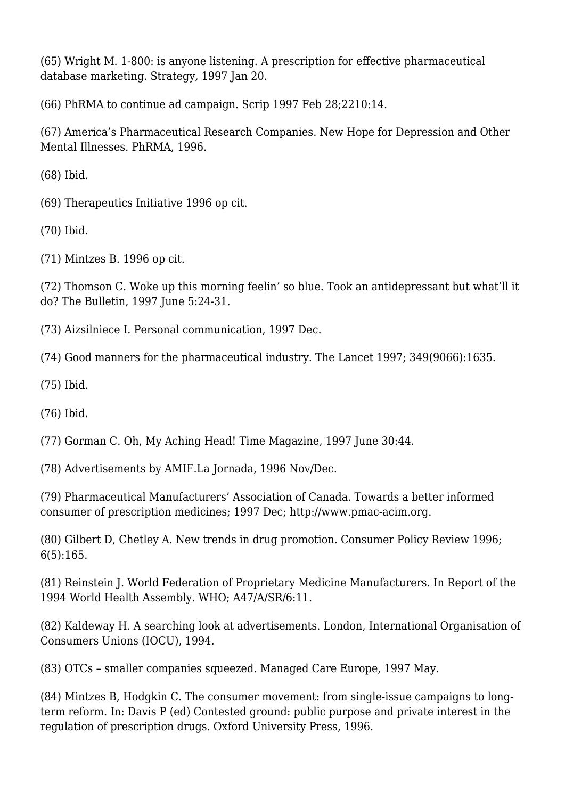(65) Wright M. 1-800: is anyone listening. A prescription for effective pharmaceutical database marketing. Strategy*,* 1997 Jan 20.

(66) PhRMA to continue ad campaign. Scrip 1997 Feb 28;2210:14.

(67) America's Pharmaceutical Research Companies. New Hope for Depression and Other Mental Illnesses*.* PhRMA, 1996.

(68) Ibid.

(69) Therapeutics Initiative 1996 op cit.

(70) Ibid.

(71) Mintzes B. 1996 op cit.

(72) Thomson C. Woke up this morning feelin' so blue. Took an antidepressant but what'll it do? The Bulletin, 1997 June 5:24-31.

(73) Aizsilniece I. Personal communication, 1997 Dec.

(74) Good manners for the pharmaceutical industry. The Lancet 1997; 349(9066):1635.

(75) Ibid.

(76) Ibid.

(77) Gorman C. Oh, My Aching Head! Time Magazine*,* 1997 June 30:44.

(78) Advertisements by AMIF.La Jornada, 1996 Nov/Dec.

(79) Pharmaceutical Manufacturers' Association of Canada. Towards a better informed consumer of prescription medicines; 1997 Dec; http://www.pmac-acim.org.

(80) Gilbert D, Chetley A. New trends in drug promotion. Consumer Policy Review 1996; 6(5):165.

(81) Reinstein J. World Federation of Proprietary Medicine Manufacturers. In Report of the 1994 World Health Assembly. WHO; A47/A/SR/6:11.

(82) Kaldeway H. A searching look at advertisements. London, International Organisation of Consumers Unions (IOCU), 1994.

(83) OTCs – smaller companies squeezed. Managed Care Europe*,* 1997 May.

(84) Mintzes B, Hodgkin C. The consumer movement: from single-issue campaigns to longterm reform. In: Davis P (ed) Contested ground: public purpose and private interest in the regulation of prescription drugs. Oxford University Press, 1996.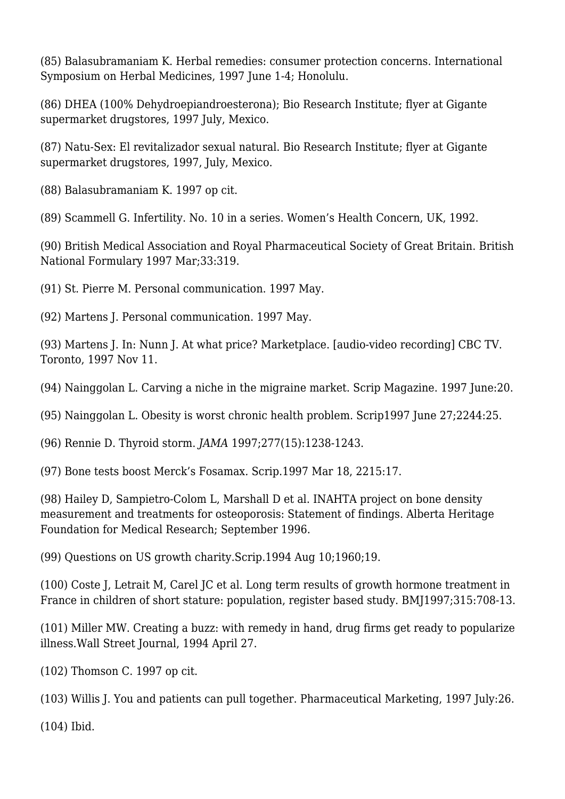(85) Balasubramaniam K. Herbal remedies: consumer protection concerns. International Symposium on Herbal Medicines, 1997 June 1-4; Honolulu.

(86) DHEA (100% Dehydroepiandroesterona); Bio Research Institute; flyer at Gigante supermarket drugstores, 1997 July, Mexico.

(87) Natu-Sex: El revitalizador sexual natural. Bio Research Institute; flyer at Gigante supermarket drugstores, 1997, July, Mexico.

(88) Balasubramaniam K. 1997 op cit.

(89) Scammell G. Infertility. No. 10 in a series. Women's Health Concern, UK, 1992.

(90) British Medical Association and Royal Pharmaceutical Society of Great Britain. British National Formulary 1997 Mar;33:319.

(91) St. Pierre M. Personal communication. 1997 May.

(92) Martens J. Personal communication. 1997 May.

(93) Martens J. In: Nunn J. At what price? Marketplace. [audio-video recording] CBC TV. Toronto, 1997 Nov 11.

(94) Nainggolan L. Carving a niche in the migraine market. Scrip Magazine. 1997 June:20.

(95) Nainggolan L. Obesity is worst chronic health problem. Scrip1997 June 27;2244:25.

(96) Rennie D. Thyroid storm. *JAMA* 1997;277(15):1238-1243.

(97) Bone tests boost Merck's Fosamax*.* Scrip.1997 Mar 18, 2215:17.

(98) Hailey D, Sampietro-Colom L, Marshall D et al. INAHTA project on bone density measurement and treatments for osteoporosis: Statement of findings. Alberta Heritage Foundation for Medical Research; September 1996.

(99) Questions on US growth charity.Scrip.1994 Aug 10;1960;19.

(100) Coste J, Letrait M, Carel JC et al. Long term results of growth hormone treatment in France in children of short stature: population, register based study. BMJ1997;315:708-13.

(101) Miller MW. Creating a buzz: with remedy in hand, drug firms get ready to popularize illness.Wall Street Journal, 1994 April 27.

(102) Thomson C. 1997 op cit.

(103) Willis J. You and patients can pull together. Pharmaceutical Marketing, 1997 July:26.

(104) Ibid.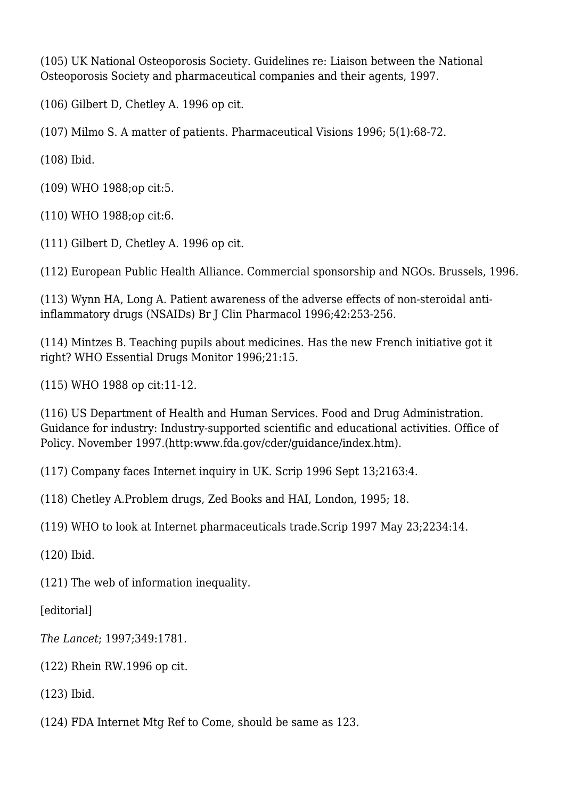(105) UK National Osteoporosis Society. Guidelines re: Liaison between the National Osteoporosis Society and pharmaceutical companies and their agents, 1997.

(106) Gilbert D, Chetley A. 1996 op cit.

(107) Milmo S. A matter of patients. Pharmaceutical Visions 1996; 5(1):68-72.

(108) Ibid.

(109) WHO 1988;op cit:5.

(110) WHO 1988;op cit:6.

(111) Gilbert D, Chetley A. 1996 op cit.

(112) European Public Health Alliance. Commercial sponsorship and NGOs. Brussels, 1996.

(113) Wynn HA, Long A. Patient awareness of the adverse effects of non-steroidal antiinflammatory drugs (NSAIDs) Br J Clin Pharmacol 1996;42:253-256.

(114) Mintzes B. Teaching pupils about medicines. Has the new French initiative got it right? WHO Essential Drugs Monitor 1996;21:15.

(115) WHO 1988 op cit:11-12.

(116) US Department of Health and Human Services. Food and Drug Administration. Guidance for industry: Industry-supported scientific and educational activities. Office of Policy. November 1997.(http:www.fda.gov/cder/guidance/index.htm).

(117) Company faces Internet inquiry in UK. Scrip 1996 Sept 13;2163:4.

(118) Chetley A.Problem drugs, Zed Books and HAI, London, 1995; 18.

(119) WHO to look at Internet pharmaceuticals trade.Scrip 1997 May 23;2234:14.

(120) Ibid.

(121) The web of information inequality.

[editorial]

*The Lancet*; 1997;349:1781.

(122) Rhein RW.1996 op cit.

(123) Ibid.

(124) FDA Internet Mtg Ref to Come, should be same as 123.